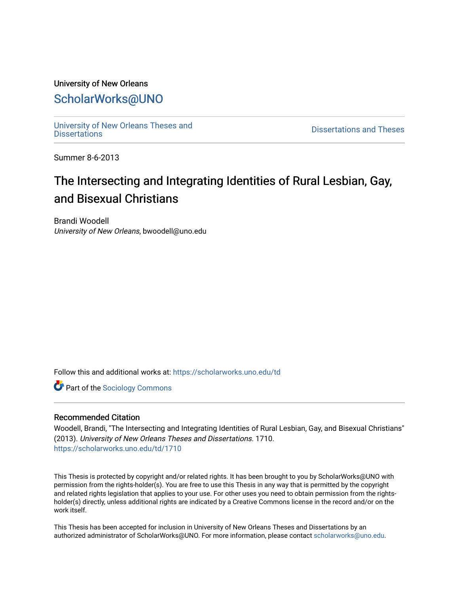## University of New Orleans [ScholarWorks@UNO](https://scholarworks.uno.edu/)

[University of New Orleans Theses and](https://scholarworks.uno.edu/td) 

[Dissertations](https://scholarworks.uno.edu/td) and Theses

Summer 8-6-2013

# The Intersecting and Integrating Identities of Rural Lesbian, Gay, and Bisexual Christians

Brandi Woodell University of New Orleans, bwoodell@uno.edu

Follow this and additional works at: [https://scholarworks.uno.edu/td](https://scholarworks.uno.edu/td?utm_source=scholarworks.uno.edu%2Ftd%2F1710&utm_medium=PDF&utm_campaign=PDFCoverPages)

Part of the [Sociology Commons](http://network.bepress.com/hgg/discipline/416?utm_source=scholarworks.uno.edu%2Ftd%2F1710&utm_medium=PDF&utm_campaign=PDFCoverPages)

#### Recommended Citation

Woodell, Brandi, "The Intersecting and Integrating Identities of Rural Lesbian, Gay, and Bisexual Christians" (2013). University of New Orleans Theses and Dissertations. 1710. [https://scholarworks.uno.edu/td/1710](https://scholarworks.uno.edu/td/1710?utm_source=scholarworks.uno.edu%2Ftd%2F1710&utm_medium=PDF&utm_campaign=PDFCoverPages)

This Thesis is protected by copyright and/or related rights. It has been brought to you by ScholarWorks@UNO with permission from the rights-holder(s). You are free to use this Thesis in any way that is permitted by the copyright and related rights legislation that applies to your use. For other uses you need to obtain permission from the rightsholder(s) directly, unless additional rights are indicated by a Creative Commons license in the record and/or on the work itself.

This Thesis has been accepted for inclusion in University of New Orleans Theses and Dissertations by an authorized administrator of ScholarWorks@UNO. For more information, please contact [scholarworks@uno.edu.](mailto:scholarworks@uno.edu)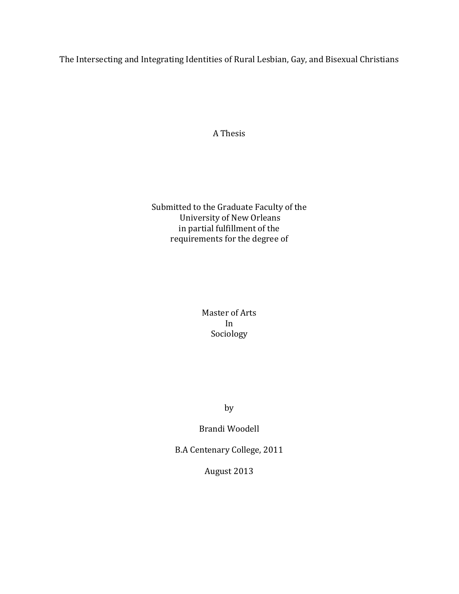The Intersecting and Integrating Identities of Rural Lesbian, Gay, and Bisexual Christians

A Thesis

Submitted to the Graduate Faculty of the University of New Orleans in partial fulfillment of the requirements for the degree of

> Master of Arts In Sociology

> > by

Brandi Woodell

B.A Centenary College, 2011

August 2013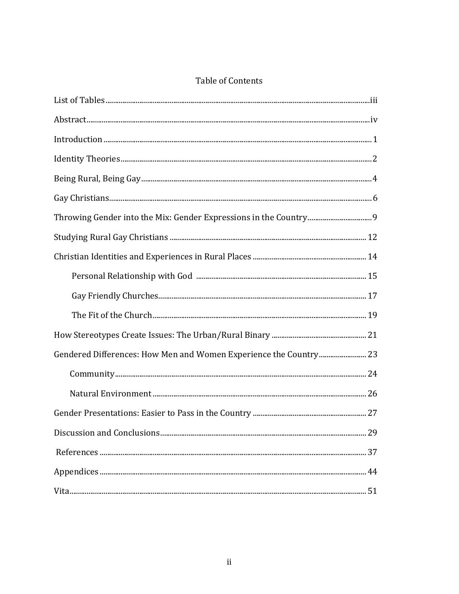## Table of Contents

| Gendered Differences: How Men and Women Experience the Country 23 |  |
|-------------------------------------------------------------------|--|
|                                                                   |  |
|                                                                   |  |
|                                                                   |  |
|                                                                   |  |
|                                                                   |  |
|                                                                   |  |
|                                                                   |  |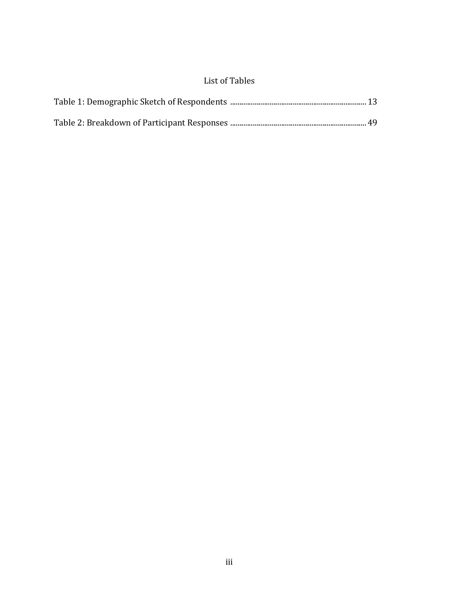## List of Tables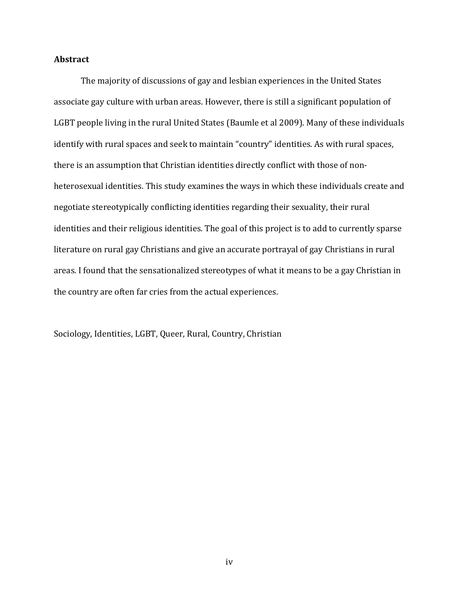#### Abstract

The majority of discussions of gay and lesbian experiences in the United States associate gay culture with urban areas. However, there is still a significant population of LGBT people living in the rural United States (Baumle et al 2009). Many of these individuals identify with rural spaces and seek to maintain "country" identities. As with rural spaces, there is an assumption that Christian identities directly conflict with those of nonheterosexual identities. This study examines the ways in which these individuals create and negotiate stereotypically conflicting identities regarding their sexuality, their rural identities and their religious identities. The goal of this project is to add to currently sparse literature on rural gay Christians and give an accurate portrayal of gay Christians in rural areas. I found that the sensationalized stereotypes of what it means to be a gay Christian in the country are often far cries from the actual experiences.

Sociology, Identities, LGBT, Queer, Rural, Country, Christian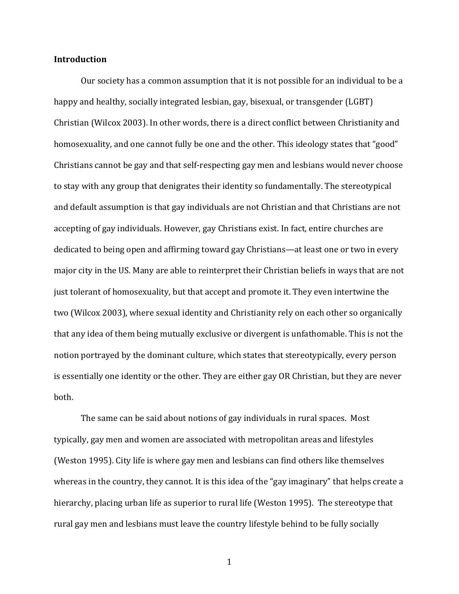#### Introduction

Our society has a common assumption that it is not possible for an individual to be a happy and healthy, socially integrated lesbian, gay, bisexual, or transgender (LGBT) Christian (Wilcox 2003). In other words, there is a direct conflict between Christianity and homosexuality, and one cannot fully be one and the other. This ideology states that "good" Christians cannot be gay and that self-respecting gay men and lesbians would never choose to stay with any group that denigrates their identity so fundamentally. The stereotypical and default assumption is that gay individuals are not Christian and that Christians are not accepting of gay individuals. However, gay Christians exist. In fact, entire churches are dedicated to being open and affirming toward gay Christians—at least one or two in every major city in the US. Many are able to reinterpret their Christian beliefs in ways that are not just tolerant of homosexuality, but that accept and promote it. They even intertwine the two (Wilcox 2003), where sexual identity and Christianity rely on each other so organically that any idea of them being mutually exclusive or divergent is unfathomable. This is not the notion portrayed by the dominant culture, which states that stereotypically, every person is essentially one identity or the other. They are either gay OR Christian, but they are never both.

The same can be said about notions of gay individuals in rural spaces. Most typically, gay men and women are associated with metropolitan areas and lifestyles (Weston 1995). City life is where gay men and lesbians can find others like themselves whereas in the country, they cannot. It is this idea of the "gay imaginary" that helps create a hierarchy, placing urban life as superior to rural life (Weston 1995). The stereotype that rural gay men and lesbians must leave the country lifestyle behind to be fully socially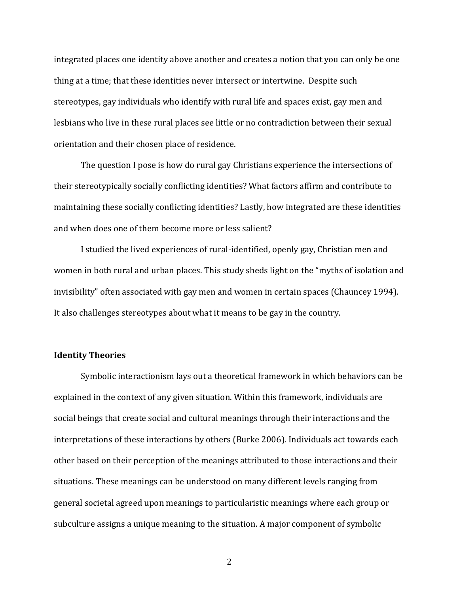integrated places one identity above another and creates a notion that you can only be one thing at a time; that these identities never intersect or intertwine. Despite such stereotypes, gay individuals who identify with rural life and spaces exist, gay men and lesbians who live in these rural places see little or no contradiction between their sexual orientation and their chosen place of residence.

The question I pose is how do rural gay Christians experience the intersections of their stereotypically socially conflicting identities? What factors affirm and contribute to maintaining these socially conflicting identities? Lastly, how integrated are these identities and when does one of them become more or less salient?

I studied the lived experiences of rural-identified, openly gay, Christian men and women in both rural and urban places. This study sheds light on the "myths of isolation and invisibility" often associated with gay men and women in certain spaces (Chauncey 1994). It also challenges stereotypes about what it means to be gay in the country.

#### Identity Theories

Symbolic interactionism lays out a theoretical framework in which behaviors can be explained in the context of any given situation. Within this framework, individuals are social beings that create social and cultural meanings through their interactions and the interpretations of these interactions by others (Burke 2006). Individuals act towards each other based on their perception of the meanings attributed to those interactions and their situations. These meanings can be understood on many different levels ranging from general societal agreed upon meanings to particularistic meanings where each group or subculture assigns a unique meaning to the situation. A major component of symbolic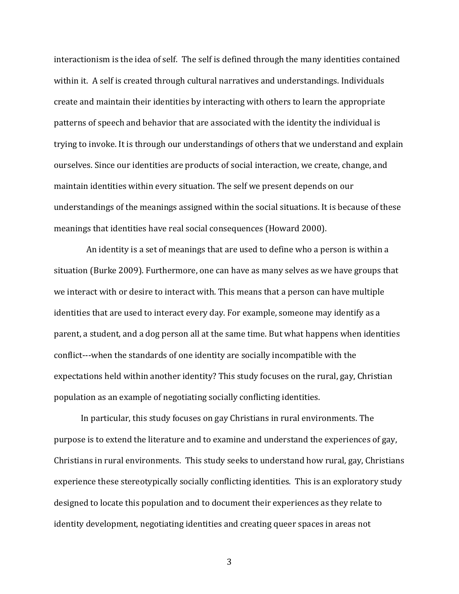interactionism is the idea of self. The self is defined through the many identities contained within it. A self is created through cultural narratives and understandings. Individuals create and maintain their identities by interacting with others to learn the appropriate patterns of speech and behavior that are associated with the identity the individual is trying to invoke. It is through our understandings of others that we understand and explain ourselves. Since our identities are products of social interaction, we create, change, and maintain identities within every situation. The self we present depends on our understandings of the meanings assigned within the social situations. It is because of these meanings that identities have real social consequences (Howard 2000).

An identity is a set of meanings that are used to define who a person is within a situation (Burke 2009). Furthermore, one can have as many selves as we have groups that we interact with or desire to interact with. This means that a person can have multiple identities that are used to interact every day. For example, someone may identify as a parent, a student, and a dog person all at the same time. But what happens when identities conflict---when the standards of one identity are socially incompatible with the expectations held within another identity? This study focuses on the rural, gay, Christian population as an example of negotiating socially conflicting identities.

In particular, this study focuses on gay Christians in rural environments. The purpose is to extend the literature and to examine and understand the experiences of gay, Christians in rural environments. This study seeks to understand how rural, gay, Christians experience these stereotypically socially conflicting identities. This is an exploratory study designed to locate this population and to document their experiences as they relate to identity development, negotiating identities and creating queer spaces in areas not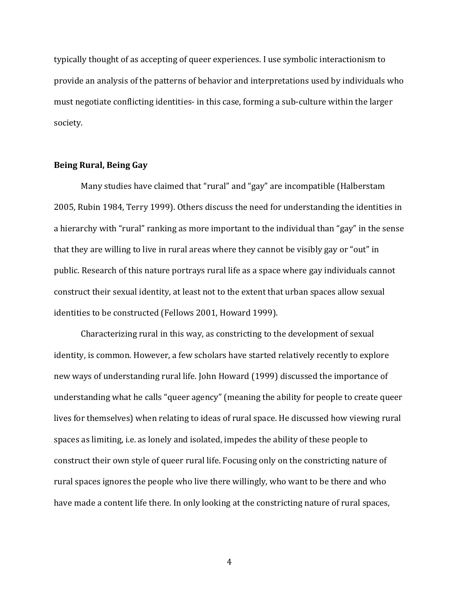typically thought of as accepting of queer experiences. I use symbolic interactionism to provide an analysis of the patterns of behavior and interpretations used by individuals who must negotiate conflicting identities- in this case, forming a sub-culture within the larger society.

#### Being Rural, Being Gay

Many studies have claimed that "rural" and "gay" are incompatible (Halberstam 2005, Rubin 1984, Terry 1999). Others discuss the need for understanding the identities in a hierarchy with "rural" ranking as more important to the individual than "gay" in the sense that they are willing to live in rural areas where they cannot be visibly gay or "out" in public. Research of this nature portrays rural life as a space where gay individuals cannot construct their sexual identity, at least not to the extent that urban spaces allow sexual identities to be constructed (Fellows 2001, Howard 1999).

Characterizing rural in this way, as constricting to the development of sexual identity, is common. However, a few scholars have started relatively recently to explore new ways of understanding rural life. John Howard (1999) discussed the importance of understanding what he calls "queer agency" (meaning the ability for people to create queer lives for themselves) when relating to ideas of rural space. He discussed how viewing rural spaces as limiting, i.e. as lonely and isolated, impedes the ability of these people to construct their own style of queer rural life. Focusing only on the constricting nature of rural spaces ignores the people who live there willingly, who want to be there and who have made a content life there. In only looking at the constricting nature of rural spaces,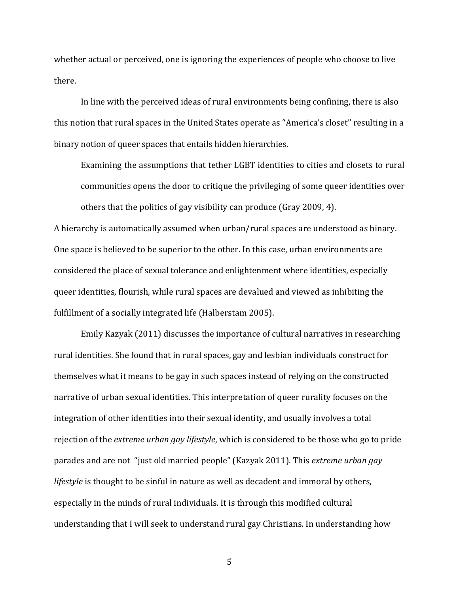whether actual or perceived, one is ignoring the experiences of people who choose to live there.

In line with the perceived ideas of rural environments being confining, there is also this notion that rural spaces in the United States operate as "America's closet" resulting in a binary notion of queer spaces that entails hidden hierarchies.

Examining the assumptions that tether LGBT identities to cities and closets to rural communities opens the door to critique the privileging of some queer identities over others that the politics of gay visibility can produce (Gray 2009, 4).

A hierarchy is automatically assumed when urban/rural spaces are understood as binary. One space is believed to be superior to the other. In this case, urban environments are considered the place of sexual tolerance and enlightenment where identities, especially queer identities, flourish, while rural spaces are devalued and viewed as inhibiting the fulfillment of a socially integrated life (Halberstam 2005).

Emily Kazyak (2011) discusses the importance of cultural narratives in researching rural identities. She found that in rural spaces, gay and lesbian individuals construct for themselves what it means to be gay in such spaces instead of relying on the constructed narrative of urban sexual identities. This interpretation of queer rurality focuses on the integration of other identities into their sexual identity, and usually involves a total rejection of the extreme urban gay lifestyle, which is considered to be those who go to pride parades and are not "just old married people" (Kazyak 2011). This extreme urban gay lifestyle is thought to be sinful in nature as well as decadent and immoral by others, especially in the minds of rural individuals. It is through this modified cultural understanding that I will seek to understand rural gay Christians. In understanding how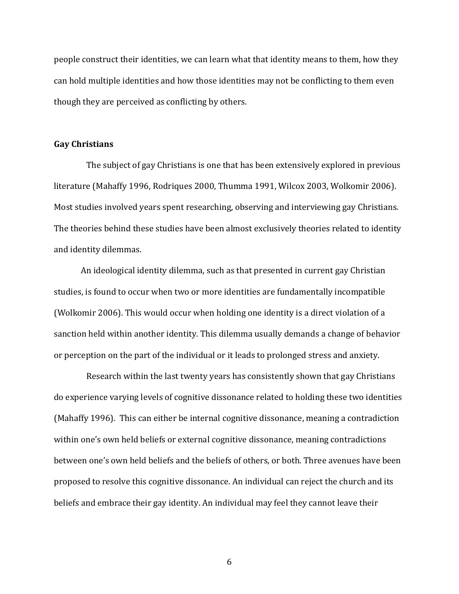people construct their identities, we can learn what that identity means to them, how they can hold multiple identities and how those identities may not be conflicting to them even though they are perceived as conflicting by others.

#### Gay Christians

 The subject of gay Christians is one that has been extensively explored in previous literature (Mahaffy 1996, Rodriques 2000, Thumma 1991, Wilcox 2003, Wolkomir 2006). Most studies involved years spent researching, observing and interviewing gay Christians. The theories behind these studies have been almost exclusively theories related to identity and identity dilemmas.

An ideological identity dilemma, such as that presented in current gay Christian studies, is found to occur when two or more identities are fundamentally incompatible (Wolkomir 2006). This would occur when holding one identity is a direct violation of a sanction held within another identity. This dilemma usually demands a change of behavior or perception on the part of the individual or it leads to prolonged stress and anxiety.

 Research within the last twenty years has consistently shown that gay Christians do experience varying levels of cognitive dissonance related to holding these two identities (Mahaffy 1996). This can either be internal cognitive dissonance, meaning a contradiction within one's own held beliefs or external cognitive dissonance, meaning contradictions between one's own held beliefs and the beliefs of others, or both. Three avenues have been proposed to resolve this cognitive dissonance. An individual can reject the church and its beliefs and embrace their gay identity. An individual may feel they cannot leave their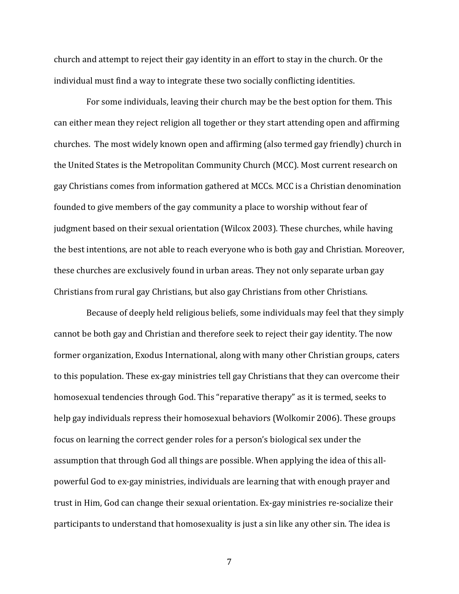church and attempt to reject their gay identity in an effort to stay in the church. Or the individual must find a way to integrate these two socially conflicting identities.

 For some individuals, leaving their church may be the best option for them. This can either mean they reject religion all together or they start attending open and affirming churches. The most widely known open and affirming (also termed gay friendly) church in the United States is the Metropolitan Community Church (MCC). Most current research on gay Christians comes from information gathered at MCCs. MCC is a Christian denomination founded to give members of the gay community a place to worship without fear of judgment based on their sexual orientation (Wilcox 2003). These churches, while having the best intentions, are not able to reach everyone who is both gay and Christian. Moreover, these churches are exclusively found in urban areas. They not only separate urban gay Christians from rural gay Christians, but also gay Christians from other Christians.

Because of deeply held religious beliefs, some individuals may feel that they simply cannot be both gay and Christian and therefore seek to reject their gay identity. The now former organization, Exodus International, along with many other Christian groups, caters to this population. These ex-gay ministries tell gay Christians that they can overcome their homosexual tendencies through God. This "reparative therapy" as it is termed, seeks to help gay individuals repress their homosexual behaviors (Wolkomir 2006). These groups focus on learning the correct gender roles for a person's biological sex under the assumption that through God all things are possible. When applying the idea of this allpowerful God to ex-gay ministries, individuals are learning that with enough prayer and trust in Him, God can change their sexual orientation. Ex-gay ministries re-socialize their participants to understand that homosexuality is just a sin like any other sin. The idea is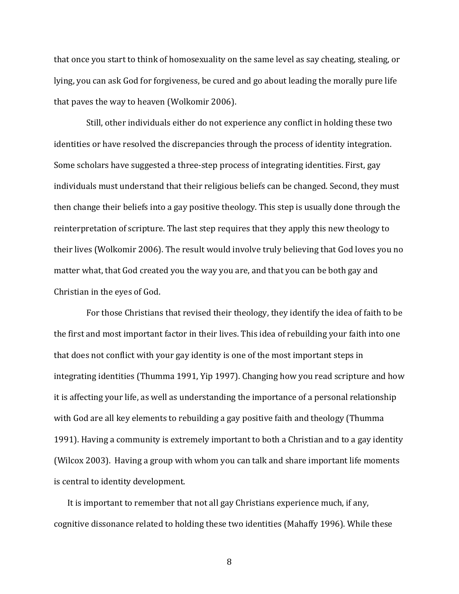that once you start to think of homosexuality on the same level as say cheating, stealing, or lying, you can ask God for forgiveness, be cured and go about leading the morally pure life that paves the way to heaven (Wolkomir 2006).

 Still, other individuals either do not experience any conflict in holding these two identities or have resolved the discrepancies through the process of identity integration. Some scholars have suggested a three-step process of integrating identities. First, gay individuals must understand that their religious beliefs can be changed. Second, they must then change their beliefs into a gay positive theology. This step is usually done through the reinterpretation of scripture. The last step requires that they apply this new theology to their lives (Wolkomir 2006). The result would involve truly believing that God loves you no matter what, that God created you the way you are, and that you can be both gay and Christian in the eyes of God.

 For those Christians that revised their theology, they identify the idea of faith to be the first and most important factor in their lives. This idea of rebuilding your faith into one that does not conflict with your gay identity is one of the most important steps in integrating identities (Thumma 1991, Yip 1997). Changing how you read scripture and how it is affecting your life, as well as understanding the importance of a personal relationship with God are all key elements to rebuilding a gay positive faith and theology (Thumma 1991). Having a community is extremely important to both a Christian and to a gay identity (Wilcox 2003). Having a group with whom you can talk and share important life moments is central to identity development.

It is important to remember that not all gay Christians experience much, if any, cognitive dissonance related to holding these two identities (Mahaffy 1996). While these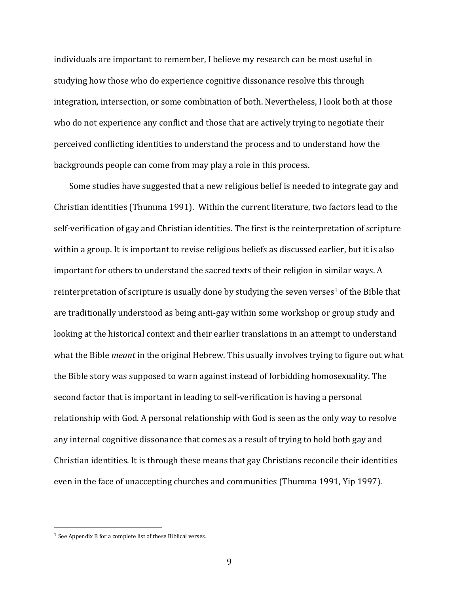individuals are important to remember, I believe my research can be most useful in studying how those who do experience cognitive dissonance resolve this through integration, intersection, or some combination of both. Nevertheless, I look both at those who do not experience any conflict and those that are actively trying to negotiate their perceived conflicting identities to understand the process and to understand how the backgrounds people can come from may play a role in this process.

 Some studies have suggested that a new religious belief is needed to integrate gay and Christian identities (Thumma 1991). Within the current literature, two factors lead to the self-verification of gay and Christian identities. The first is the reinterpretation of scripture within a group. It is important to revise religious beliefs as discussed earlier, but it is also important for others to understand the sacred texts of their religion in similar ways. A reinterpretation of scripture is usually done by studying the seven verses<sup>1</sup> of the Bible that are traditionally understood as being anti-gay within some workshop or group study and looking at the historical context and their earlier translations in an attempt to understand what the Bible *meant* in the original Hebrew. This usually involves trying to figure out what the Bible story was supposed to warn against instead of forbidding homosexuality. The second factor that is important in leading to self-verification is having a personal relationship with God. A personal relationship with God is seen as the only way to resolve any internal cognitive dissonance that comes as a result of trying to hold both gay and Christian identities. It is through these means that gay Christians reconcile their identities even in the face of unaccepting churches and communities (Thumma 1991, Yip 1997).

 $\overline{a}$ 

 $1$  See Appendix B for a complete list of these Biblical verses.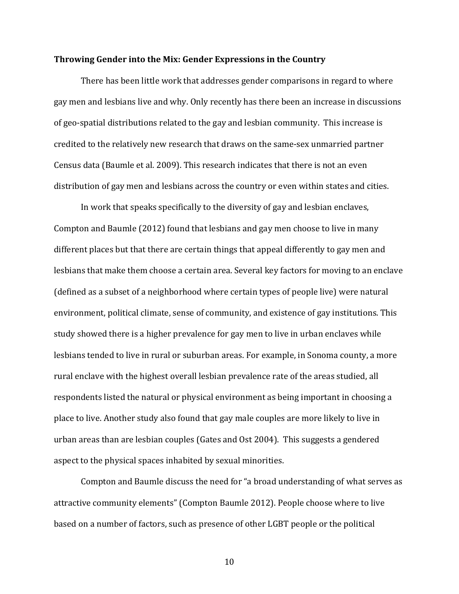#### Throwing Gender into the Mix: Gender Expressions in the Country

There has been little work that addresses gender comparisons in regard to where gay men and lesbians live and why. Only recently has there been an increase in discussions of geo-spatial distributions related to the gay and lesbian community. This increase is credited to the relatively new research that draws on the same-sex unmarried partner Census data (Baumle et al. 2009). This research indicates that there is not an even distribution of gay men and lesbians across the country or even within states and cities.

In work that speaks specifically to the diversity of gay and lesbian enclaves, Compton and Baumle (2012) found that lesbians and gay men choose to live in many different places but that there are certain things that appeal differently to gay men and lesbians that make them choose a certain area. Several key factors for moving to an enclave (defined as a subset of a neighborhood where certain types of people live) were natural environment, political climate, sense of community, and existence of gay institutions. This study showed there is a higher prevalence for gay men to live in urban enclaves while lesbians tended to live in rural or suburban areas. For example, in Sonoma county, a more rural enclave with the highest overall lesbian prevalence rate of the areas studied, all respondents listed the natural or physical environment as being important in choosing a place to live. Another study also found that gay male couples are more likely to live in urban areas than are lesbian couples (Gates and Ost 2004). This suggests a gendered aspect to the physical spaces inhabited by sexual minorities.

Compton and Baumle discuss the need for "a broad understanding of what serves as attractive community elements" (Compton Baumle 2012). People choose where to live based on a number of factors, such as presence of other LGBT people or the political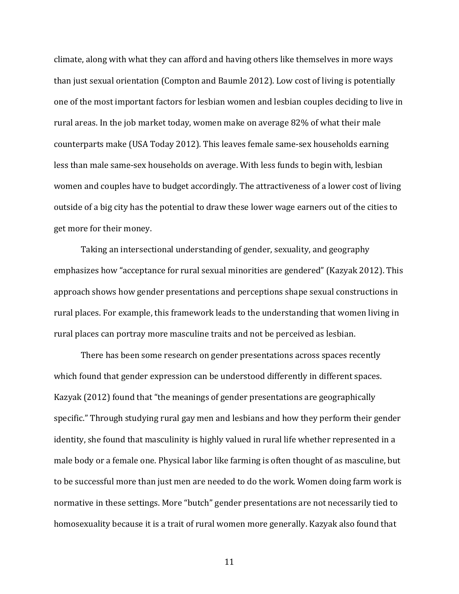climate, along with what they can afford and having others like themselves in more ways than just sexual orientation (Compton and Baumle 2012). Low cost of living is potentially one of the most important factors for lesbian women and lesbian couples deciding to live in rural areas. In the job market today, women make on average 82% of what their male counterparts make (USA Today 2012). This leaves female same-sex households earning less than male same-sex households on average. With less funds to begin with, lesbian women and couples have to budget accordingly. The attractiveness of a lower cost of living outside of a big city has the potential to draw these lower wage earners out of the cities to get more for their money.

Taking an intersectional understanding of gender, sexuality, and geography emphasizes how "acceptance for rural sexual minorities are gendered" (Kazyak 2012). This approach shows how gender presentations and perceptions shape sexual constructions in rural places. For example, this framework leads to the understanding that women living in rural places can portray more masculine traits and not be perceived as lesbian.

There has been some research on gender presentations across spaces recently which found that gender expression can be understood differently in different spaces. Kazyak (2012) found that "the meanings of gender presentations are geographically specific." Through studying rural gay men and lesbians and how they perform their gender identity, she found that masculinity is highly valued in rural life whether represented in a male body or a female one. Physical labor like farming is often thought of as masculine, but to be successful more than just men are needed to do the work. Women doing farm work is normative in these settings. More "butch" gender presentations are not necessarily tied to homosexuality because it is a trait of rural women more generally. Kazyak also found that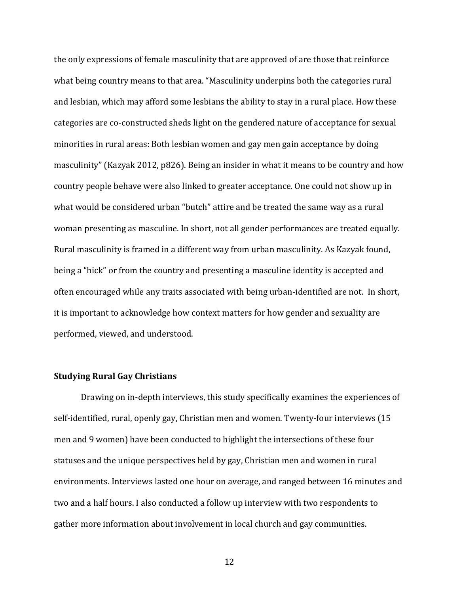the only expressions of female masculinity that are approved of are those that reinforce what being country means to that area. "Masculinity underpins both the categories rural and lesbian, which may afford some lesbians the ability to stay in a rural place. How these categories are co-constructed sheds light on the gendered nature of acceptance for sexual minorities in rural areas: Both lesbian women and gay men gain acceptance by doing masculinity" (Kazyak 2012, p826). Being an insider in what it means to be country and how country people behave were also linked to greater acceptance. One could not show up in what would be considered urban "butch" attire and be treated the same way as a rural woman presenting as masculine. In short, not all gender performances are treated equally. Rural masculinity is framed in a different way from urban masculinity. As Kazyak found, being a "hick" or from the country and presenting a masculine identity is accepted and often encouraged while any traits associated with being urban-identified are not. In short, it is important to acknowledge how context matters for how gender and sexuality are performed, viewed, and understood.

#### Studying Rural Gay Christians

Drawing on in-depth interviews, this study specifically examines the experiences of self-identified, rural, openly gay, Christian men and women. Twenty-four interviews (15 men and 9 women) have been conducted to highlight the intersections of these four statuses and the unique perspectives held by gay, Christian men and women in rural environments. Interviews lasted one hour on average, and ranged between 16 minutes and two and a half hours. I also conducted a follow up interview with two respondents to gather more information about involvement in local church and gay communities.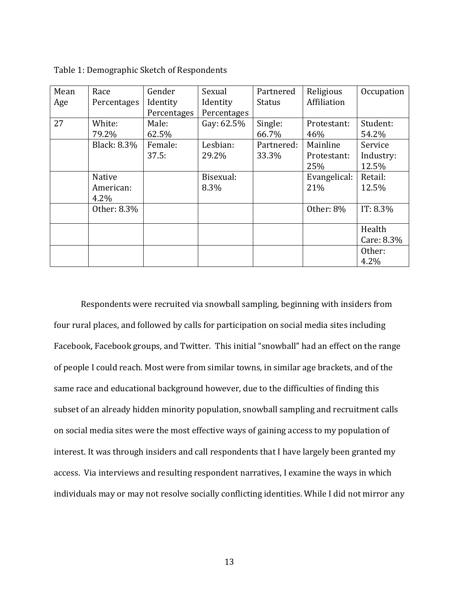| Mean | Race          | Gender      | Sexual      | Partnered     | Religious    | Occupation |
|------|---------------|-------------|-------------|---------------|--------------|------------|
| Age  | Percentages   | Identity    | Identity    | <b>Status</b> | Affiliation  |            |
|      |               | Percentages | Percentages |               |              |            |
| 27   | White:        | Male:       | Gay: 62.5%  | Single:       | Protestant:  | Student:   |
|      | 79.2%         | 62.5%       |             | 66.7%         | 46%          | 54.2%      |
|      | Black: 8.3%   | Female:     | Lesbian:    | Partnered:    | Mainline     | Service    |
|      |               | 37.5:       | 29.2%       | 33.3%         | Protestant:  | Industry:  |
|      |               |             |             |               | 25%          | 12.5%      |
|      | <b>Native</b> |             | Bisexual:   |               | Evangelical: | Retail:    |
|      | American:     |             | 8.3%        |               | 21%          | 12.5%      |
|      | $4.2\%$       |             |             |               |              |            |
|      | Other: 8.3%   |             |             |               | Other: 8%    | IT: 8.3%   |
|      |               |             |             |               |              |            |
|      |               |             |             |               |              | Health     |
|      |               |             |             |               |              | Care: 8.3% |
|      |               |             |             |               |              | Other:     |
|      |               |             |             |               |              | 4.2%       |

| Table 1: Demographic Sketch of Respondents |  |  |
|--------------------------------------------|--|--|
|                                            |  |  |

Respondents were recruited via snowball sampling, beginning with insiders from four rural places, and followed by calls for participation on social media sites including Facebook, Facebook groups, and Twitter. This initial "snowball" had an effect on the range of people I could reach. Most were from similar towns, in similar age brackets, and of the same race and educational background however, due to the difficulties of finding this subset of an already hidden minority population, snowball sampling and recruitment calls on social media sites were the most effective ways of gaining access to my population of interest. It was through insiders and call respondents that I have largely been granted my access. Via interviews and resulting respondent narratives, I examine the ways in which individuals may or may not resolve socially conflicting identities. While I did not mirror any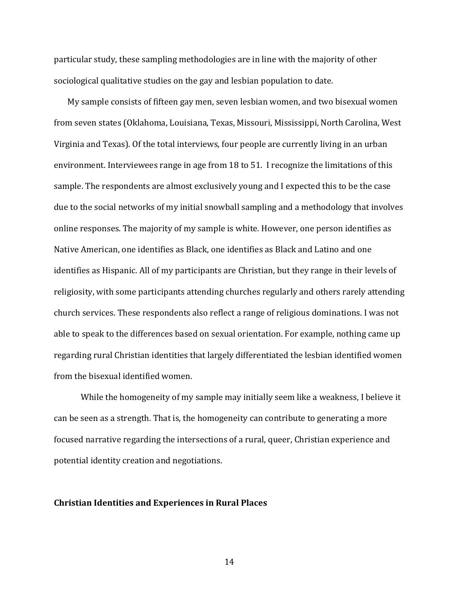particular study, these sampling methodologies are in line with the majority of other sociological qualitative studies on the gay and lesbian population to date.

My sample consists of fifteen gay men, seven lesbian women, and two bisexual women from seven states (Oklahoma, Louisiana, Texas, Missouri, Mississippi, North Carolina, West Virginia and Texas). Of the total interviews, four people are currently living in an urban environment. Interviewees range in age from 18 to 51. I recognize the limitations of this sample. The respondents are almost exclusively young and I expected this to be the case due to the social networks of my initial snowball sampling and a methodology that involves online responses. The majority of my sample is white. However, one person identifies as Native American, one identifies as Black, one identifies as Black and Latino and one identifies as Hispanic. All of my participants are Christian, but they range in their levels of religiosity, with some participants attending churches regularly and others rarely attending church services. These respondents also reflect a range of religious dominations. I was not able to speak to the differences based on sexual orientation. For example, nothing came up regarding rural Christian identities that largely differentiated the lesbian identified women from the bisexual identified women.

While the homogeneity of my sample may initially seem like a weakness, I believe it can be seen as a strength. That is, the homogeneity can contribute to generating a more focused narrative regarding the intersections of a rural, queer, Christian experience and potential identity creation and negotiations.

#### Christian Identities and Experiences in Rural Places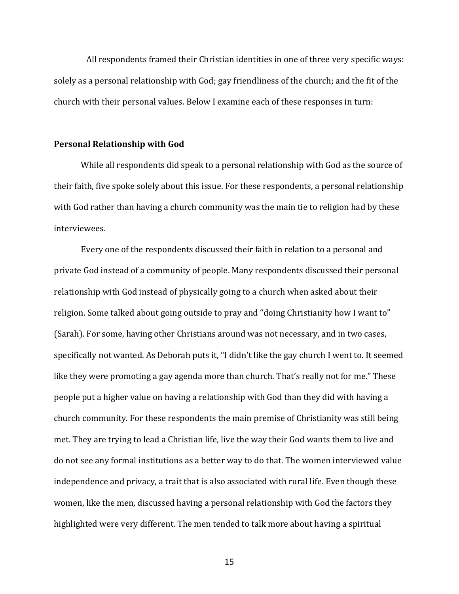All respondents framed their Christian identities in one of three very specific ways: solely as a personal relationship with God; gay friendliness of the church; and the fit of the church with their personal values. Below I examine each of these responses in turn:

#### Personal Relationship with God

While all respondents did speak to a personal relationship with God as the source of their faith, five spoke solely about this issue. For these respondents, a personal relationship with God rather than having a church community was the main tie to religion had by these interviewees.

Every one of the respondents discussed their faith in relation to a personal and private God instead of a community of people. Many respondents discussed their personal relationship with God instead of physically going to a church when asked about their religion. Some talked about going outside to pray and "doing Christianity how I want to" (Sarah). For some, having other Christians around was not necessary, and in two cases, specifically not wanted. As Deborah puts it, "I didn't like the gay church I went to. It seemed like they were promoting a gay agenda more than church. That's really not for me." These people put a higher value on having a relationship with God than they did with having a church community. For these respondents the main premise of Christianity was still being met. They are trying to lead a Christian life, live the way their God wants them to live and do not see any formal institutions as a better way to do that. The women interviewed value independence and privacy, a trait that is also associated with rural life. Even though these women, like the men, discussed having a personal relationship with God the factors they highlighted were very different. The men tended to talk more about having a spiritual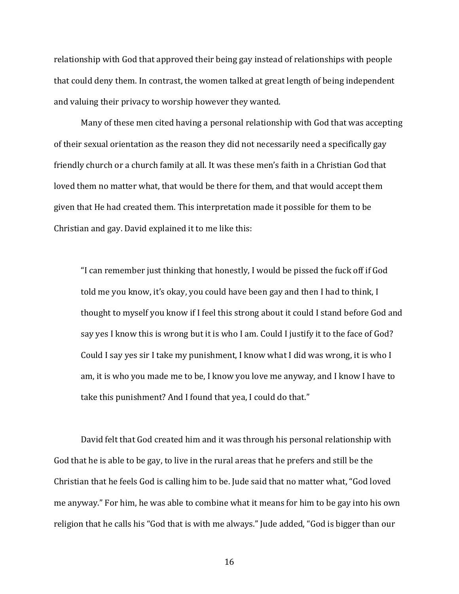relationship with God that approved their being gay instead of relationships with people that could deny them. In contrast, the women talked at great length of being independent and valuing their privacy to worship however they wanted.

Many of these men cited having a personal relationship with God that was accepting of their sexual orientation as the reason they did not necessarily need a specifically gay friendly church or a church family at all. It was these men's faith in a Christian God that loved them no matter what, that would be there for them, and that would accept them given that He had created them. This interpretation made it possible for them to be Christian and gay. David explained it to me like this:

"I can remember just thinking that honestly, I would be pissed the fuck off if God told me you know, it's okay, you could have been gay and then I had to think, I thought to myself you know if I feel this strong about it could I stand before God and say yes I know this is wrong but it is who I am. Could I justify it to the face of God? Could I say yes sir I take my punishment, I know what I did was wrong, it is who I am, it is who you made me to be, I know you love me anyway, and I know I have to take this punishment? And I found that yea, I could do that."

David felt that God created him and it was through his personal relationship with God that he is able to be gay, to live in the rural areas that he prefers and still be the Christian that he feels God is calling him to be. Jude said that no matter what, "God loved me anyway." For him, he was able to combine what it means for him to be gay into his own religion that he calls his "God that is with me always." Jude added, "God is bigger than our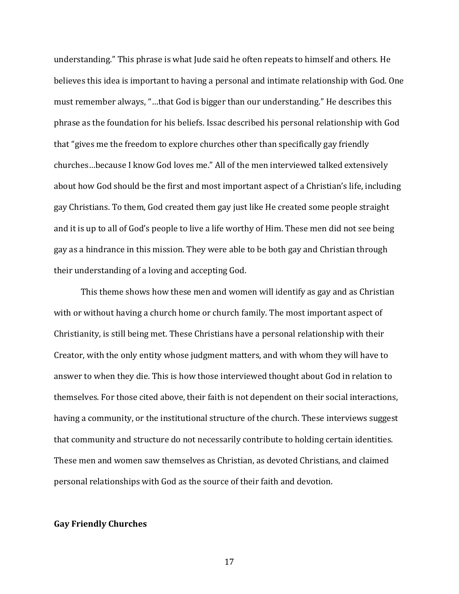understanding." This phrase is what Jude said he often repeats to himself and others. He believes this idea is important to having a personal and intimate relationship with God. One must remember always, "…that God is bigger than our understanding." He describes this phrase as the foundation for his beliefs. Issac described his personal relationship with God that "gives me the freedom to explore churches other than specifically gay friendly churches…because I know God loves me." All of the men interviewed talked extensively about how God should be the first and most important aspect of a Christian's life, including gay Christians. To them, God created them gay just like He created some people straight and it is up to all of God's people to live a life worthy of Him. These men did not see being gay as a hindrance in this mission. They were able to be both gay and Christian through their understanding of a loving and accepting God.

This theme shows how these men and women will identify as gay and as Christian with or without having a church home or church family. The most important aspect of Christianity, is still being met. These Christians have a personal relationship with their Creator, with the only entity whose judgment matters, and with whom they will have to answer to when they die. This is how those interviewed thought about God in relation to themselves. For those cited above, their faith is not dependent on their social interactions, having a community, or the institutional structure of the church. These interviews suggest that community and structure do not necessarily contribute to holding certain identities. These men and women saw themselves as Christian, as devoted Christians, and claimed personal relationships with God as the source of their faith and devotion.

#### Gay Friendly Churches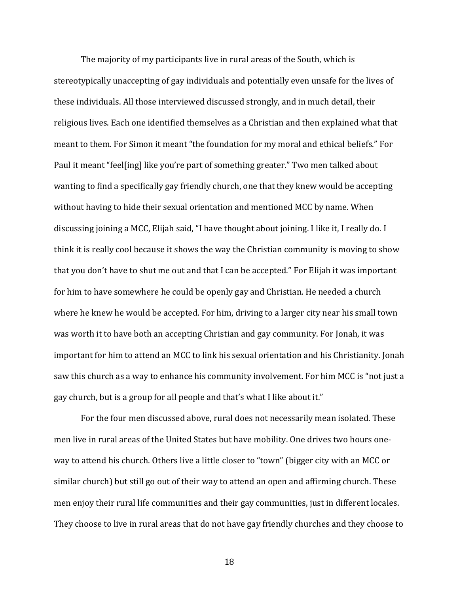The majority of my participants live in rural areas of the South, which is stereotypically unaccepting of gay individuals and potentially even unsafe for the lives of these individuals. All those interviewed discussed strongly, and in much detail, their religious lives. Each one identified themselves as a Christian and then explained what that meant to them. For Simon it meant "the foundation for my moral and ethical beliefs." For Paul it meant "feel[ing] like you're part of something greater." Two men talked about wanting to find a specifically gay friendly church, one that they knew would be accepting without having to hide their sexual orientation and mentioned MCC by name. When discussing joining a MCC, Elijah said, "I have thought about joining. I like it, I really do. I think it is really cool because it shows the way the Christian community is moving to show that you don't have to shut me out and that I can be accepted." For Elijah it was important for him to have somewhere he could be openly gay and Christian. He needed a church where he knew he would be accepted. For him, driving to a larger city near his small town was worth it to have both an accepting Christian and gay community. For Jonah, it was important for him to attend an MCC to link his sexual orientation and his Christianity. Jonah saw this church as a way to enhance his community involvement. For him MCC is "not just a gay church, but is a group for all people and that's what I like about it."

For the four men discussed above, rural does not necessarily mean isolated. These men live in rural areas of the United States but have mobility. One drives two hours oneway to attend his church. Others live a little closer to "town" (bigger city with an MCC or similar church) but still go out of their way to attend an open and affirming church. These men enjoy their rural life communities and their gay communities, just in different locales. They choose to live in rural areas that do not have gay friendly churches and they choose to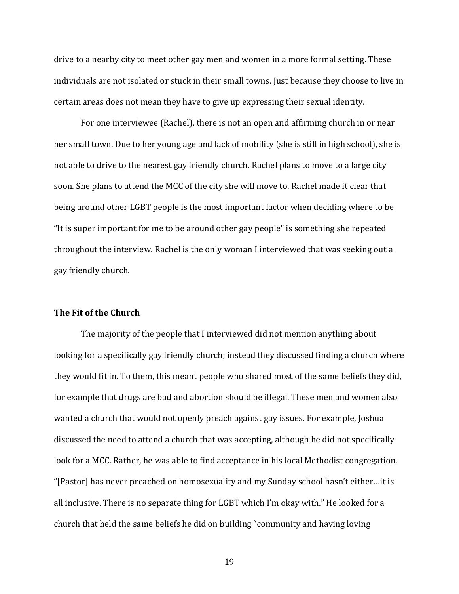drive to a nearby city to meet other gay men and women in a more formal setting. These individuals are not isolated or stuck in their small towns. Just because they choose to live in certain areas does not mean they have to give up expressing their sexual identity.

For one interviewee (Rachel), there is not an open and affirming church in or near her small town. Due to her young age and lack of mobility (she is still in high school), she is not able to drive to the nearest gay friendly church. Rachel plans to move to a large city soon. She plans to attend the MCC of the city she will move to. Rachel made it clear that being around other LGBT people is the most important factor when deciding where to be "It is super important for me to be around other gay people" is something she repeated throughout the interview. Rachel is the only woman I interviewed that was seeking out a gay friendly church.

#### The Fit of the Church

The majority of the people that I interviewed did not mention anything about looking for a specifically gay friendly church; instead they discussed finding a church where they would fit in. To them, this meant people who shared most of the same beliefs they did, for example that drugs are bad and abortion should be illegal. These men and women also wanted a church that would not openly preach against gay issues. For example, Joshua discussed the need to attend a church that was accepting, although he did not specifically look for a MCC. Rather, he was able to find acceptance in his local Methodist congregation. "[Pastor] has never preached on homosexuality and my Sunday school hasn't either…it is all inclusive. There is no separate thing for LGBT which I'm okay with." He looked for a church that held the same beliefs he did on building "community and having loving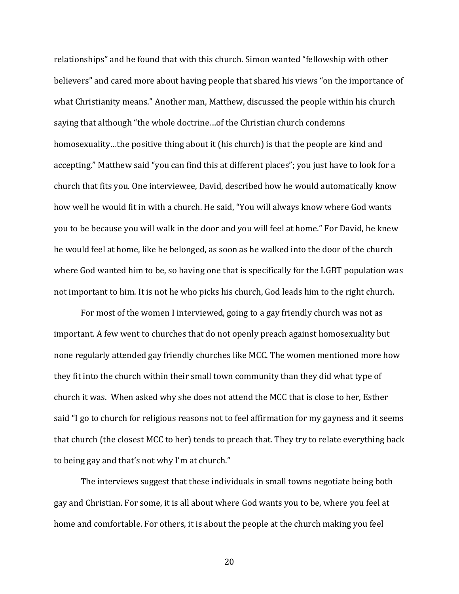relationships" and he found that with this church. Simon wanted "fellowship with other believers" and cared more about having people that shared his views "on the importance of what Christianity means." Another man, Matthew, discussed the people within his church saying that although "the whole doctrine…of the Christian church condemns homosexuality…the positive thing about it (his church) is that the people are kind and accepting." Matthew said "you can find this at different places"; you just have to look for a church that fits you. One interviewee, David, described how he would automatically know how well he would fit in with a church. He said, "You will always know where God wants you to be because you will walk in the door and you will feel at home." For David, he knew he would feel at home, like he belonged, as soon as he walked into the door of the church where God wanted him to be, so having one that is specifically for the LGBT population was not important to him. It is not he who picks his church, God leads him to the right church.

For most of the women I interviewed, going to a gay friendly church was not as important. A few went to churches that do not openly preach against homosexuality but none regularly attended gay friendly churches like MCC. The women mentioned more how they fit into the church within their small town community than they did what type of church it was. When asked why she does not attend the MCC that is close to her, Esther said "I go to church for religious reasons not to feel affirmation for my gayness and it seems that church (the closest MCC to her) tends to preach that. They try to relate everything back to being gay and that's not why I'm at church."

The interviews suggest that these individuals in small towns negotiate being both gay and Christian. For some, it is all about where God wants you to be, where you feel at home and comfortable. For others, it is about the people at the church making you feel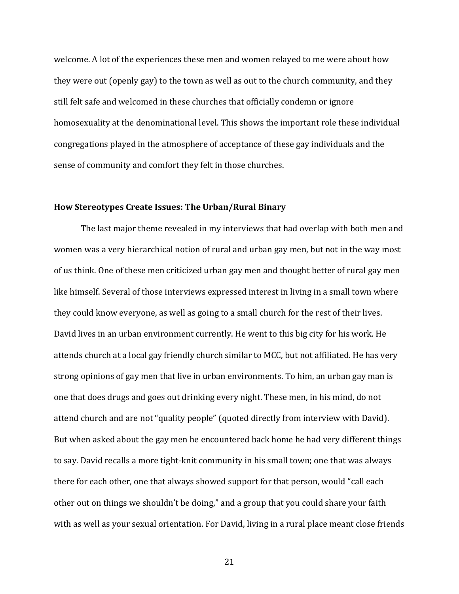welcome. A lot of the experiences these men and women relayed to me were about how they were out (openly gay) to the town as well as out to the church community, and they still felt safe and welcomed in these churches that officially condemn or ignore homosexuality at the denominational level. This shows the important role these individual congregations played in the atmosphere of acceptance of these gay individuals and the sense of community and comfort they felt in those churches.

#### How Stereotypes Create Issues: The Urban/Rural Binary

The last major theme revealed in my interviews that had overlap with both men and women was a very hierarchical notion of rural and urban gay men, but not in the way most of us think. One of these men criticized urban gay men and thought better of rural gay men like himself. Several of those interviews expressed interest in living in a small town where they could know everyone, as well as going to a small church for the rest of their lives. David lives in an urban environment currently. He went to this big city for his work. He attends church at a local gay friendly church similar to MCC, but not affiliated. He has very strong opinions of gay men that live in urban environments. To him, an urban gay man is one that does drugs and goes out drinking every night. These men, in his mind, do not attend church and are not "quality people" (quoted directly from interview with David). But when asked about the gay men he encountered back home he had very different things to say. David recalls a more tight-knit community in his small town; one that was always there for each other, one that always showed support for that person, would "call each other out on things we shouldn't be doing," and a group that you could share your faith with as well as your sexual orientation. For David, living in a rural place meant close friends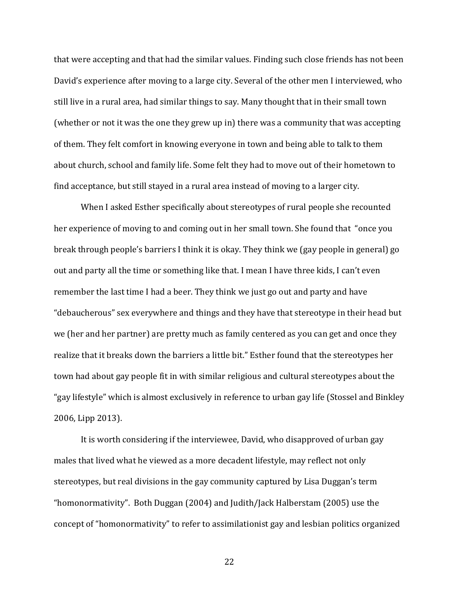that were accepting and that had the similar values. Finding such close friends has not been David's experience after moving to a large city. Several of the other men I interviewed, who still live in a rural area, had similar things to say. Many thought that in their small town (whether or not it was the one they grew up in) there was a community that was accepting of them. They felt comfort in knowing everyone in town and being able to talk to them about church, school and family life. Some felt they had to move out of their hometown to find acceptance, but still stayed in a rural area instead of moving to a larger city.

When I asked Esther specifically about stereotypes of rural people she recounted her experience of moving to and coming out in her small town. She found that "once you break through people's barriers I think it is okay. They think we (gay people in general) go out and party all the time or something like that. I mean I have three kids, I can't even remember the last time I had a beer. They think we just go out and party and have "debaucherous" sex everywhere and things and they have that stereotype in their head but we (her and her partner) are pretty much as family centered as you can get and once they realize that it breaks down the barriers a little bit." Esther found that the stereotypes her town had about gay people fit in with similar religious and cultural stereotypes about the "gay lifestyle" which is almost exclusively in reference to urban gay life (Stossel and Binkley 2006, Lipp 2013).

It is worth considering if the interviewee, David, who disapproved of urban gay males that lived what he viewed as a more decadent lifestyle, may reflect not only stereotypes, but real divisions in the gay community captured by Lisa Duggan's term "homonormativity". Both Duggan (2004) and Judith/Jack Halberstam (2005) use the concept of "homonormativity" to refer to assimilationist gay and lesbian politics organized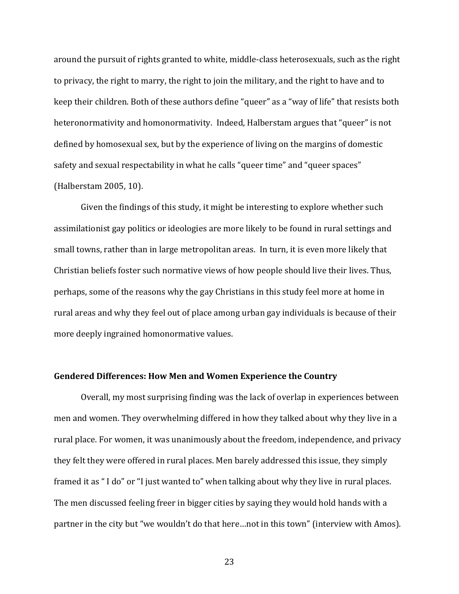around the pursuit of rights granted to white, middle-class heterosexuals, such as the right to privacy, the right to marry, the right to join the military, and the right to have and to keep their children. Both of these authors define "queer" as a "way of life" that resists both heteronormativity and homonormativity. Indeed, Halberstam argues that "queer" is not defined by homosexual sex, but by the experience of living on the margins of domestic safety and sexual respectability in what he calls "queer time" and "queer spaces" (Halberstam 2005, 10).

Given the findings of this study, it might be interesting to explore whether such assimilationist gay politics or ideologies are more likely to be found in rural settings and small towns, rather than in large metropolitan areas. In turn, it is even more likely that Christian beliefs foster such normative views of how people should live their lives. Thus, perhaps, some of the reasons why the gay Christians in this study feel more at home in rural areas and why they feel out of place among urban gay individuals is because of their more deeply ingrained homonormative values.

#### Gendered Differences: How Men and Women Experience the Country

Overall, my most surprising finding was the lack of overlap in experiences between men and women. They overwhelming differed in how they talked about why they live in a rural place. For women, it was unanimously about the freedom, independence, and privacy they felt they were offered in rural places. Men barely addressed this issue, they simply framed it as " I do" or "I just wanted to" when talking about why they live in rural places. The men discussed feeling freer in bigger cities by saying they would hold hands with a partner in the city but "we wouldn't do that here…not in this town" (interview with Amos).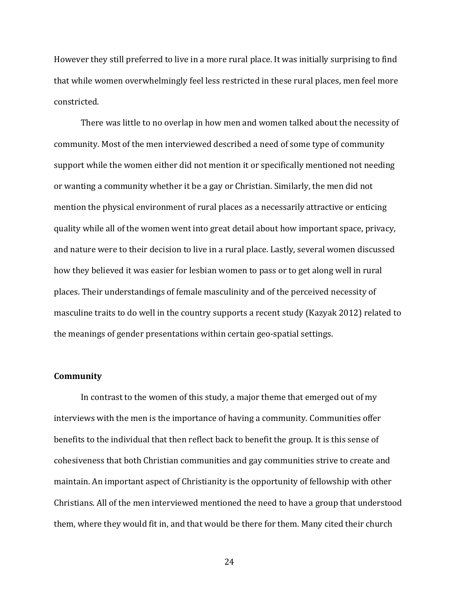However they still preferred to live in a more rural place. It was initially surprising to find that while women overwhelmingly feel less restricted in these rural places, men feel more constricted.

There was little to no overlap in how men and women talked about the necessity of community. Most of the men interviewed described a need of some type of community support while the women either did not mention it or specifically mentioned not needing or wanting a community whether it be a gay or Christian. Similarly, the men did not mention the physical environment of rural places as a necessarily attractive or enticing quality while all of the women went into great detail about how important space, privacy, and nature were to their decision to live in a rural place. Lastly, several women discussed how they believed it was easier for lesbian women to pass or to get along well in rural places. Their understandings of female masculinity and of the perceived necessity of masculine traits to do well in the country supports a recent study (Kazyak 2012) related to the meanings of gender presentations within certain geo-spatial settings.

#### Community

In contrast to the women of this study, a major theme that emerged out of my interviews with the men is the importance of having a community. Communities offer benefits to the individual that then reflect back to benefit the group. It is this sense of cohesiveness that both Christian communities and gay communities strive to create and maintain. An important aspect of Christianity is the opportunity of fellowship with other Christians. All of the men interviewed mentioned the need to have a group that understood them, where they would fit in, and that would be there for them. Many cited their church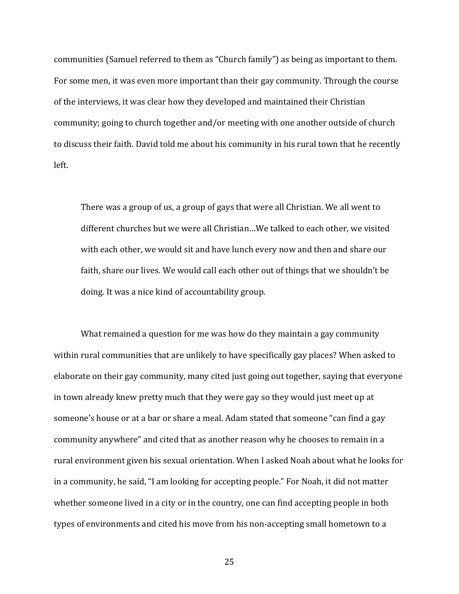communities (Samuel referred to them as "Church family") as being as important to them. For some men, it was even more important than their gay community. Through the course of the interviews, it was clear how they developed and maintained their Christian community; going to church together and/or meeting with one another outside of church to discuss their faith. David told me about his community in his rural town that he recently left.

There was a group of us, a group of gays that were all Christian. We all went to different churches but we were all Christian…We talked to each other, we visited with each other, we would sit and have lunch every now and then and share our faith, share our lives. We would call each other out of things that we shouldn't be doing. It was a nice kind of accountability group.

What remained a question for me was how do they maintain a gay community within rural communities that are unlikely to have specifically gay places? When asked to elaborate on their gay community, many cited just going out together, saying that everyone in town already knew pretty much that they were gay so they would just meet up at someone's house or at a bar or share a meal. Adam stated that someone "can find a gay community anywhere" and cited that as another reason why he chooses to remain in a rural environment given his sexual orientation. When I asked Noah about what he looks for in a community, he said, "I am looking for accepting people." For Noah, it did not matter whether someone lived in a city or in the country, one can find accepting people in both types of environments and cited his move from his non-accepting small hometown to a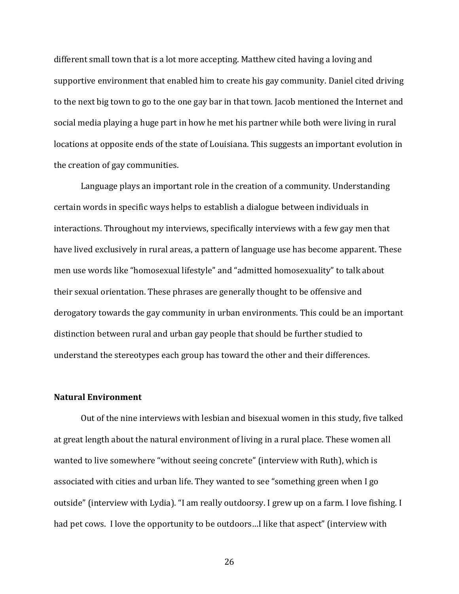different small town that is a lot more accepting. Matthew cited having a loving and supportive environment that enabled him to create his gay community. Daniel cited driving to the next big town to go to the one gay bar in that town. Jacob mentioned the Internet and social media playing a huge part in how he met his partner while both were living in rural locations at opposite ends of the state of Louisiana. This suggests an important evolution in the creation of gay communities.

Language plays an important role in the creation of a community. Understanding certain words in specific ways helps to establish a dialogue between individuals in interactions. Throughout my interviews, specifically interviews with a few gay men that have lived exclusively in rural areas, a pattern of language use has become apparent. These men use words like "homosexual lifestyle" and "admitted homosexuality" to talk about their sexual orientation. These phrases are generally thought to be offensive and derogatory towards the gay community in urban environments. This could be an important distinction between rural and urban gay people that should be further studied to understand the stereotypes each group has toward the other and their differences.

#### Natural Environment

Out of the nine interviews with lesbian and bisexual women in this study, five talked at great length about the natural environment of living in a rural place. These women all wanted to live somewhere "without seeing concrete" (interview with Ruth), which is associated with cities and urban life. They wanted to see "something green when I go outside" (interview with Lydia). "I am really outdoorsy. I grew up on a farm. I love fishing. I had pet cows. I love the opportunity to be outdoors…I like that aspect" (interview with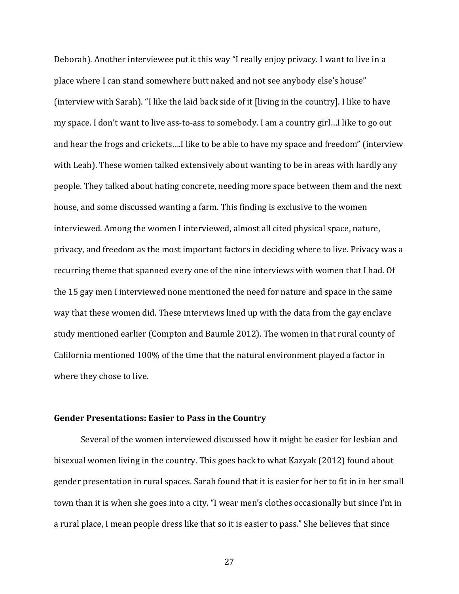Deborah). Another interviewee put it this way "I really enjoy privacy. I want to live in a place where I can stand somewhere butt naked and not see anybody else's house" (interview with Sarah). "I like the laid back side of it [living in the country]. I like to have my space. I don't want to live ass-to-ass to somebody. I am a country girl…I like to go out and hear the frogs and crickets….I like to be able to have my space and freedom" (interview with Leah). These women talked extensively about wanting to be in areas with hardly any people. They talked about hating concrete, needing more space between them and the next house, and some discussed wanting a farm. This finding is exclusive to the women interviewed. Among the women I interviewed, almost all cited physical space, nature, privacy, and freedom as the most important factors in deciding where to live. Privacy was a recurring theme that spanned every one of the nine interviews with women that I had. Of the 15 gay men I interviewed none mentioned the need for nature and space in the same way that these women did. These interviews lined up with the data from the gay enclave study mentioned earlier (Compton and Baumle 2012). The women in that rural county of California mentioned 100% of the time that the natural environment played a factor in where they chose to live.

#### Gender Presentations: Easier to Pass in the Country

Several of the women interviewed discussed how it might be easier for lesbian and bisexual women living in the country. This goes back to what Kazyak (2012) found about gender presentation in rural spaces. Sarah found that it is easier for her to fit in in her small town than it is when she goes into a city. "I wear men's clothes occasionally but since I'm in a rural place, I mean people dress like that so it is easier to pass." She believes that since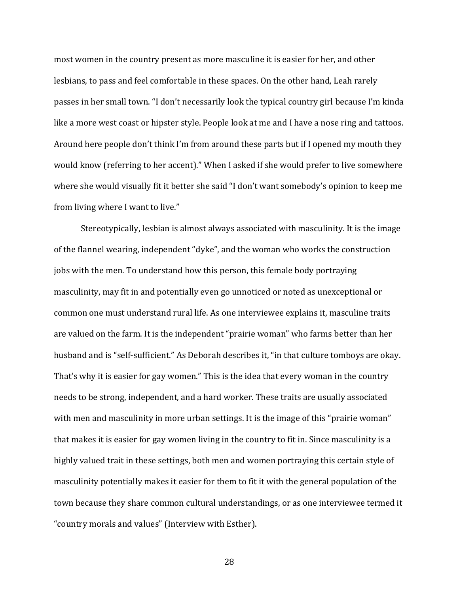most women in the country present as more masculine it is easier for her, and other lesbians, to pass and feel comfortable in these spaces. On the other hand, Leah rarely passes in her small town. "I don't necessarily look the typical country girl because I'm kinda like a more west coast or hipster style. People look at me and I have a nose ring and tattoos. Around here people don't think I'm from around these parts but if I opened my mouth they would know (referring to her accent)." When I asked if she would prefer to live somewhere where she would visually fit it better she said "I don't want somebody's opinion to keep me from living where I want to live."

Stereotypically, lesbian is almost always associated with masculinity. It is the image of the flannel wearing, independent "dyke", and the woman who works the construction jobs with the men. To understand how this person, this female body portraying masculinity, may fit in and potentially even go unnoticed or noted as unexceptional or common one must understand rural life. As one interviewee explains it, masculine traits are valued on the farm. It is the independent "prairie woman" who farms better than her husband and is "self-sufficient." As Deborah describes it, "in that culture tomboys are okay. That's why it is easier for gay women." This is the idea that every woman in the country needs to be strong, independent, and a hard worker. These traits are usually associated with men and masculinity in more urban settings. It is the image of this "prairie woman" that makes it is easier for gay women living in the country to fit in. Since masculinity is a highly valued trait in these settings, both men and women portraying this certain style of masculinity potentially makes it easier for them to fit it with the general population of the town because they share common cultural understandings, or as one interviewee termed it "country morals and values" (Interview with Esther).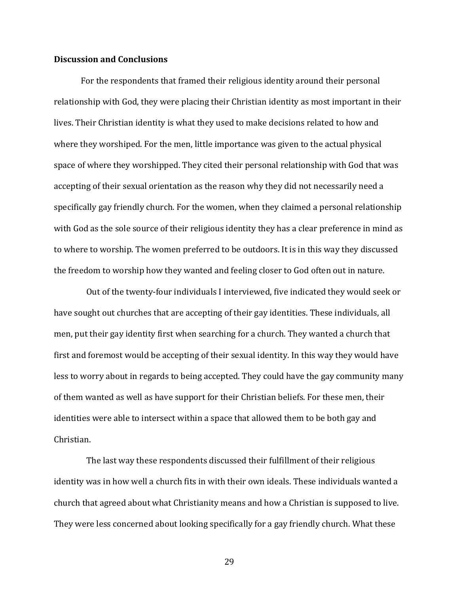#### Discussion and Conclusions

For the respondents that framed their religious identity around their personal relationship with God, they were placing their Christian identity as most important in their lives. Their Christian identity is what they used to make decisions related to how and where they worshiped. For the men, little importance was given to the actual physical space of where they worshipped. They cited their personal relationship with God that was accepting of their sexual orientation as the reason why they did not necessarily need a specifically gay friendly church. For the women, when they claimed a personal relationship with God as the sole source of their religious identity they has a clear preference in mind as to where to worship. The women preferred to be outdoors. It is in this way they discussed the freedom to worship how they wanted and feeling closer to God often out in nature.

 Out of the twenty-four individuals I interviewed, five indicated they would seek or have sought out churches that are accepting of their gay identities. These individuals, all men, put their gay identity first when searching for a church. They wanted a church that first and foremost would be accepting of their sexual identity. In this way they would have less to worry about in regards to being accepted. They could have the gay community many of them wanted as well as have support for their Christian beliefs. For these men, their identities were able to intersect within a space that allowed them to be both gay and Christian.

 The last way these respondents discussed their fulfillment of their religious identity was in how well a church fits in with their own ideals. These individuals wanted a church that agreed about what Christianity means and how a Christian is supposed to live. They were less concerned about looking specifically for a gay friendly church. What these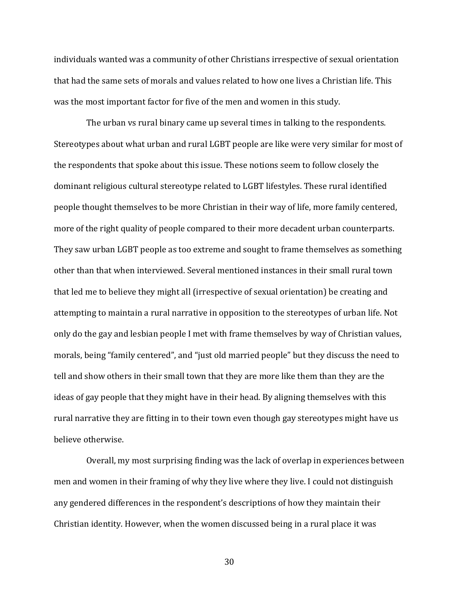individuals wanted was a community of other Christians irrespective of sexual orientation that had the same sets of morals and values related to how one lives a Christian life. This was the most important factor for five of the men and women in this study.

 The urban vs rural binary came up several times in talking to the respondents. Stereotypes about what urban and rural LGBT people are like were very similar for most of the respondents that spoke about this issue. These notions seem to follow closely the dominant religious cultural stereotype related to LGBT lifestyles. These rural identified people thought themselves to be more Christian in their way of life, more family centered, more of the right quality of people compared to their more decadent urban counterparts. They saw urban LGBT people as too extreme and sought to frame themselves as something other than that when interviewed. Several mentioned instances in their small rural town that led me to believe they might all (irrespective of sexual orientation) be creating and attempting to maintain a rural narrative in opposition to the stereotypes of urban life. Not only do the gay and lesbian people I met with frame themselves by way of Christian values, morals, being "family centered", and "just old married people" but they discuss the need to tell and show others in their small town that they are more like them than they are the ideas of gay people that they might have in their head. By aligning themselves with this rural narrative they are fitting in to their town even though gay stereotypes might have us believe otherwise.

 Overall, my most surprising finding was the lack of overlap in experiences between men and women in their framing of why they live where they live. I could not distinguish any gendered differences in the respondent's descriptions of how they maintain their Christian identity. However, when the women discussed being in a rural place it was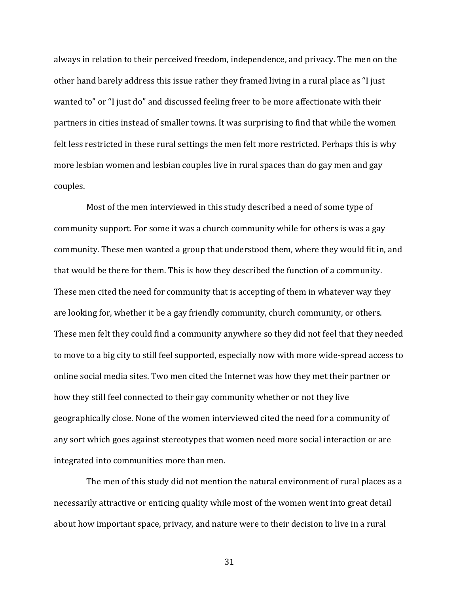always in relation to their perceived freedom, independence, and privacy. The men on the other hand barely address this issue rather they framed living in a rural place as "I just wanted to" or "I just do" and discussed feeling freer to be more affectionate with their partners in cities instead of smaller towns. It was surprising to find that while the women felt less restricted in these rural settings the men felt more restricted. Perhaps this is why more lesbian women and lesbian couples live in rural spaces than do gay men and gay couples.

 Most of the men interviewed in this study described a need of some type of community support. For some it was a church community while for others is was a gay community. These men wanted a group that understood them, where they would fit in, and that would be there for them. This is how they described the function of a community. These men cited the need for community that is accepting of them in whatever way they are looking for, whether it be a gay friendly community, church community, or others. These men felt they could find a community anywhere so they did not feel that they needed to move to a big city to still feel supported, especially now with more wide-spread access to online social media sites. Two men cited the Internet was how they met their partner or how they still feel connected to their gay community whether or not they live geographically close. None of the women interviewed cited the need for a community of any sort which goes against stereotypes that women need more social interaction or are integrated into communities more than men.

 The men of this study did not mention the natural environment of rural places as a necessarily attractive or enticing quality while most of the women went into great detail about how important space, privacy, and nature were to their decision to live in a rural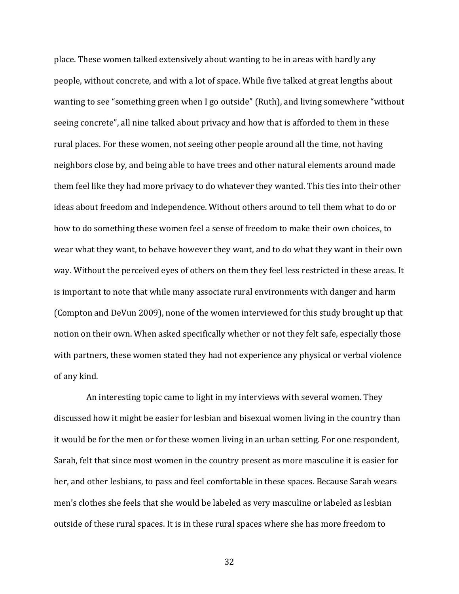place. These women talked extensively about wanting to be in areas with hardly any people, without concrete, and with a lot of space. While five talked at great lengths about wanting to see "something green when I go outside" (Ruth), and living somewhere "without seeing concrete", all nine talked about privacy and how that is afforded to them in these rural places. For these women, not seeing other people around all the time, not having neighbors close by, and being able to have trees and other natural elements around made them feel like they had more privacy to do whatever they wanted. This ties into their other ideas about freedom and independence. Without others around to tell them what to do or how to do something these women feel a sense of freedom to make their own choices, to wear what they want, to behave however they want, and to do what they want in their own way. Without the perceived eyes of others on them they feel less restricted in these areas. It is important to note that while many associate rural environments with danger and harm (Compton and DeVun 2009), none of the women interviewed for this study brought up that notion on their own. When asked specifically whether or not they felt safe, especially those with partners, these women stated they had not experience any physical or verbal violence of any kind.

 An interesting topic came to light in my interviews with several women. They discussed how it might be easier for lesbian and bisexual women living in the country than it would be for the men or for these women living in an urban setting. For one respondent, Sarah, felt that since most women in the country present as more masculine it is easier for her, and other lesbians, to pass and feel comfortable in these spaces. Because Sarah wears men's clothes she feels that she would be labeled as very masculine or labeled as lesbian outside of these rural spaces. It is in these rural spaces where she has more freedom to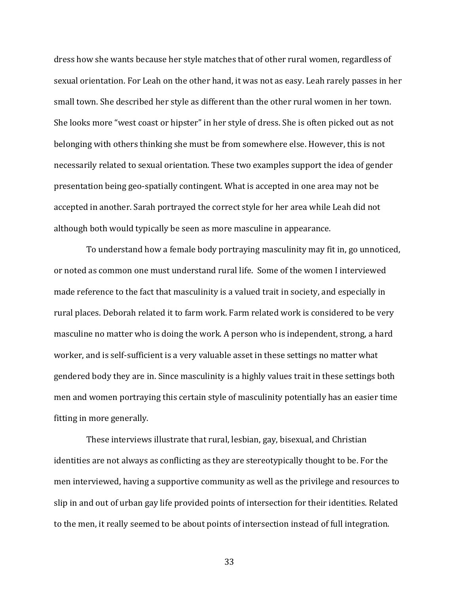dress how she wants because her style matches that of other rural women, regardless of sexual orientation. For Leah on the other hand, it was not as easy. Leah rarely passes in her small town. She described her style as different than the other rural women in her town. She looks more "west coast or hipster" in her style of dress. She is often picked out as not belonging with others thinking she must be from somewhere else. However, this is not necessarily related to sexual orientation. These two examples support the idea of gender presentation being geo-spatially contingent. What is accepted in one area may not be accepted in another. Sarah portrayed the correct style for her area while Leah did not although both would typically be seen as more masculine in appearance.

 To understand how a female body portraying masculinity may fit in, go unnoticed, or noted as common one must understand rural life. Some of the women I interviewed made reference to the fact that masculinity is a valued trait in society, and especially in rural places. Deborah related it to farm work. Farm related work is considered to be very masculine no matter who is doing the work. A person who is independent, strong, a hard worker, and is self-sufficient is a very valuable asset in these settings no matter what gendered body they are in. Since masculinity is a highly values trait in these settings both men and women portraying this certain style of masculinity potentially has an easier time fitting in more generally.

 These interviews illustrate that rural, lesbian, gay, bisexual, and Christian identities are not always as conflicting as they are stereotypically thought to be. For the men interviewed, having a supportive community as well as the privilege and resources to slip in and out of urban gay life provided points of intersection for their identities. Related to the men, it really seemed to be about points of intersection instead of full integration.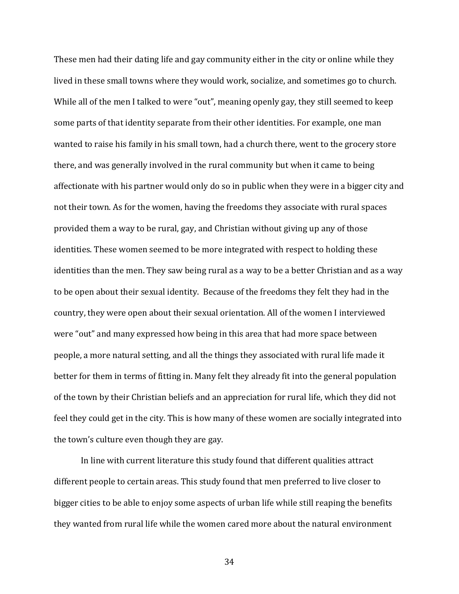These men had their dating life and gay community either in the city or online while they lived in these small towns where they would work, socialize, and sometimes go to church. While all of the men I talked to were "out", meaning openly gay, they still seemed to keep some parts of that identity separate from their other identities. For example, one man wanted to raise his family in his small town, had a church there, went to the grocery store there, and was generally involved in the rural community but when it came to being affectionate with his partner would only do so in public when they were in a bigger city and not their town. As for the women, having the freedoms they associate with rural spaces provided them a way to be rural, gay, and Christian without giving up any of those identities. These women seemed to be more integrated with respect to holding these identities than the men. They saw being rural as a way to be a better Christian and as a way to be open about their sexual identity. Because of the freedoms they felt they had in the country, they were open about their sexual orientation. All of the women I interviewed were "out" and many expressed how being in this area that had more space between people, a more natural setting, and all the things they associated with rural life made it better for them in terms of fitting in. Many felt they already fit into the general population of the town by their Christian beliefs and an appreciation for rural life, which they did not feel they could get in the city. This is how many of these women are socially integrated into the town's culture even though they are gay.

In line with current literature this study found that different qualities attract different people to certain areas. This study found that men preferred to live closer to bigger cities to be able to enjoy some aspects of urban life while still reaping the benefits they wanted from rural life while the women cared more about the natural environment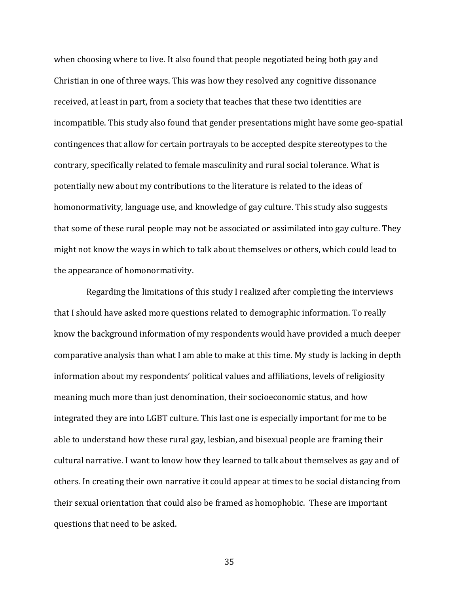when choosing where to live. It also found that people negotiated being both gay and Christian in one of three ways. This was how they resolved any cognitive dissonance received, at least in part, from a society that teaches that these two identities are incompatible. This study also found that gender presentations might have some geo-spatial contingences that allow for certain portrayals to be accepted despite stereotypes to the contrary, specifically related to female masculinity and rural social tolerance. What is potentially new about my contributions to the literature is related to the ideas of homonormativity, language use, and knowledge of gay culture. This study also suggests that some of these rural people may not be associated or assimilated into gay culture. They might not know the ways in which to talk about themselves or others, which could lead to the appearance of homonormativity.

 Regarding the limitations of this study I realized after completing the interviews that I should have asked more questions related to demographic information. To really know the background information of my respondents would have provided a much deeper comparative analysis than what I am able to make at this time. My study is lacking in depth information about my respondents' political values and affiliations, levels of religiosity meaning much more than just denomination, their socioeconomic status, and how integrated they are into LGBT culture. This last one is especially important for me to be able to understand how these rural gay, lesbian, and bisexual people are framing their cultural narrative. I want to know how they learned to talk about themselves as gay and of others. In creating their own narrative it could appear at times to be social distancing from their sexual orientation that could also be framed as homophobic. These are important questions that need to be asked.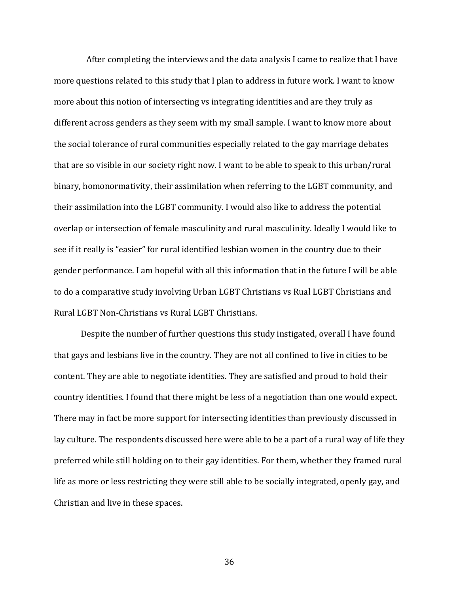After completing the interviews and the data analysis I came to realize that I have more questions related to this study that I plan to address in future work. I want to know more about this notion of intersecting vs integrating identities and are they truly as different across genders as they seem with my small sample. I want to know more about the social tolerance of rural communities especially related to the gay marriage debates that are so visible in our society right now. I want to be able to speak to this urban/rural binary, homonormativity, their assimilation when referring to the LGBT community, and their assimilation into the LGBT community. I would also like to address the potential overlap or intersection of female masculinity and rural masculinity. Ideally I would like to see if it really is "easier" for rural identified lesbian women in the country due to their gender performance. I am hopeful with all this information that in the future I will be able to do a comparative study involving Urban LGBT Christians vs Rual LGBT Christians and Rural LGBT Non-Christians vs Rural LGBT Christians.

Despite the number of further questions this study instigated, overall I have found that gays and lesbians live in the country. They are not all confined to live in cities to be content. They are able to negotiate identities. They are satisfied and proud to hold their country identities. I found that there might be less of a negotiation than one would expect. There may in fact be more support for intersecting identities than previously discussed in lay culture. The respondents discussed here were able to be a part of a rural way of life they preferred while still holding on to their gay identities. For them, whether they framed rural life as more or less restricting they were still able to be socially integrated, openly gay, and Christian and live in these spaces.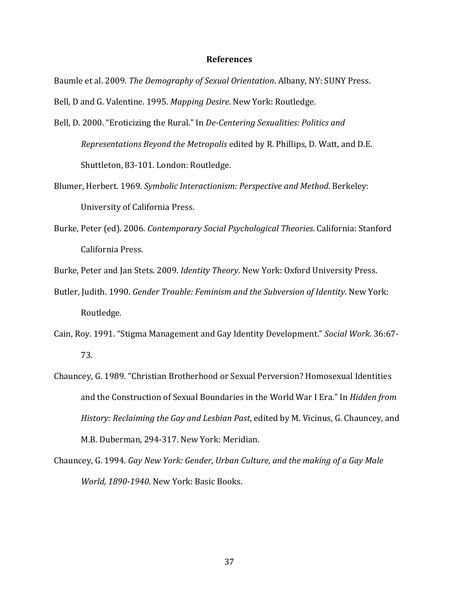#### References

Baumle et al. 2009. The Demography of Sexual Orientation. Albany, NY: SUNY Press.

Bell, D and G. Valentine. 1995. Mapping Desire. New York: Routledge.

- Bell, D. 2000. "Eroticizing the Rural." In De-Centering Sexualities: Politics and Representations Beyond the Metropolis edited by R. Phillips, D. Watt, and D.E. Shuttleton, 83-101. London: Routledge.
- Blumer, Herbert. 1969. Symbolic Interactionism: Perspective and Method. Berkeley: University of California Press.
- Burke, Peter (ed). 2006. Contemporary Social Psychological Theories. California: Stanford California Press.
- Burke, Peter and Jan Stets. 2009. Identity Theory. New York: Oxford University Press.
- Butler, Judith. 1990. Gender Trouble: Feminism and the Subversion of Identity. New York: Routledge.
- Cain, Roy. 1991. "Stigma Management and Gay Identity Development." Social Work. 36:67- 73.
- Chauncey, G. 1989. "Christian Brotherhood or Sexual Perversion? Homosexual Identities and the Construction of Sexual Boundaries in the World War I Era." In Hidden from History: Reclaiming the Gay and Lesbian Past, edited by M. Vicinus, G. Chauncey, and M.B. Duberman, 294-317. New York: Meridian.
- Chauncey, G. 1994. Gay New York: Gender, Urban Culture, and the making of a Gay Male World, 1890-1940. New York: Basic Books.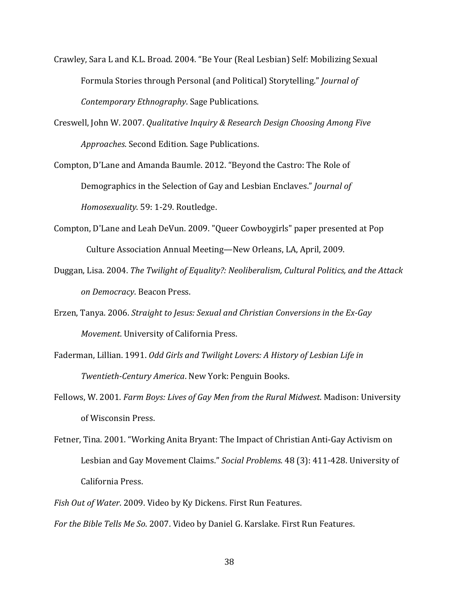- Crawley, Sara L and K.L. Broad. 2004. "Be Your (Real Lesbian) Self: Mobilizing Sexual Formula Stories through Personal (and Political) Storytelling." Journal of Contemporary Ethnography. Sage Publications.
- Creswell, John W. 2007. Qualitative Inquiry & Research Design Choosing Among Five Approaches. Second Edition. Sage Publications.
- Compton, D'Lane and Amanda Baumle. 2012. "Beyond the Castro: The Role of Demographics in the Selection of Gay and Lesbian Enclaves." Journal of Homosexuality. 59: 1-29. Routledge.
- Compton, D'Lane and Leah DeVun. 2009. "Queer Cowboygirls" paper presented at Pop Culture Association Annual Meeting—New Orleans, LA, April, 2009.
- Duggan, Lisa. 2004. The Twilight of Equality?: Neoliberalism, Cultural Politics, and the Attack on Democracy. Beacon Press.
- Erzen, Tanya. 2006. Straight to Jesus: Sexual and Christian Conversions in the Ex-Gay Movement. University of California Press.
- Faderman, Lillian. 1991. Odd Girls and Twilight Lovers: A History of Lesbian Life in Twentieth-Century America. New York: Penguin Books.
- Fellows, W. 2001. Farm Boys: Lives of Gay Men from the Rural Midwest. Madison: University of Wisconsin Press.
- Fetner, Tina. 2001. "Working Anita Bryant: The Impact of Christian Anti-Gay Activism on Lesbian and Gay Movement Claims." Social Problems. 48 (3): 411-428. University of California Press.

Fish Out of Water. 2009. Video by Ky Dickens. First Run Features.

For the Bible Tells Me So. 2007. Video by Daniel G. Karslake. First Run Features.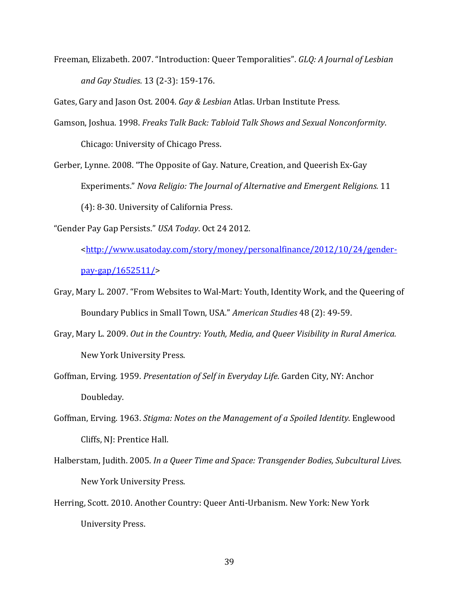Freeman, Elizabeth. 2007. "Introduction: Queer Temporalities". GLQ: A Journal of Lesbian and Gay Studies. 13 (2-3): 159-176.

Gates, Gary and Jason Ost. 2004. Gay & Lesbian Atlas. Urban Institute Press.

- Gamson, Joshua. 1998. Freaks Talk Back: Tabloid Talk Shows and Sexual Nonconformity. Chicago: University of Chicago Press.
- Gerber, Lynne. 2008. "The Opposite of Gay. Nature, Creation, and Queerish Ex-Gay Experiments." Nova Religio: The Journal of Alternative and Emergent Religions. 11 (4): 8-30. University of California Press.

"Gender Pay Gap Persists." USA Today. Oct 24 2012.

<http://www.usatoday.com/story/money/personalfinance/2012/10/24/genderpay-gap/1652511/>

- Gray, Mary L. 2007. "From Websites to Wal-Mart: Youth, Identity Work, and the Queering of Boundary Publics in Small Town, USA." American Studies 48 (2): 49-59.
- Gray, Mary L. 2009. Out in the Country: Youth, Media, and Queer Visibility in Rural America. New York University Press.
- Goffman, Erving. 1959. Presentation of Self in Everyday Life. Garden City, NY: Anchor Doubleday.
- Goffman, Erving. 1963. Stigma: Notes on the Management of a Spoiled Identity. Englewood Cliffs, NJ: Prentice Hall.
- Halberstam, Judith. 2005. In a Queer Time and Space: Transgender Bodies, Subcultural Lives. New York University Press.
- Herring, Scott. 2010. Another Country: Queer Anti-Urbanism. New York: New York University Press.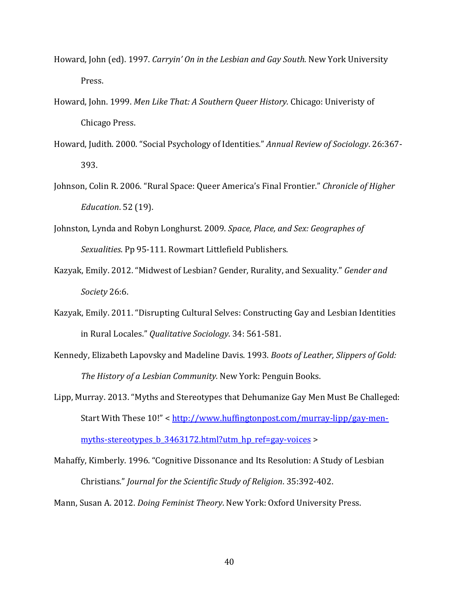- Howard, John (ed). 1997. Carryin' On in the Lesbian and Gay South. New York University Press.
- Howard, John. 1999. Men Like That: A Southern Queer History. Chicago: Univeristy of Chicago Press.
- Howard, Judith. 2000. "Social Psychology of Identities." Annual Review of Sociology. 26:367- 393.
- Johnson, Colin R. 2006. "Rural Space: Queer America's Final Frontier." Chronicle of Higher Education. 52 (19).
- Johnston, Lynda and Robyn Longhurst. 2009. Space, Place, and Sex: Geographes of Sexualities. Pp 95-111. Rowmart Littlefield Publishers.
- Kazyak, Emily. 2012. "Midwest of Lesbian? Gender, Rurality, and Sexuality." Gender and Society 26:6.
- Kazyak, Emily. 2011. "Disrupting Cultural Selves: Constructing Gay and Lesbian Identities in Rural Locales." Qualitative Sociology. 34: 561-581.
- Kennedy, Elizabeth Lapovsky and Madeline Davis. 1993. Boots of Leather, Slippers of Gold: The History of a Lesbian Community. New York: Penguin Books.
- Lipp, Murray. 2013. "Myths and Stereotypes that Dehumanize Gay Men Must Be Challeged: Start With These 10!" < http://www.huffingtonpost.com/murray-lipp/gay-menmyths-stereotypes\_b\_3463172.html?utm\_hp\_ref=gay-voices >

Mahaffy, Kimberly. 1996. "Cognitive Dissonance and Its Resolution: A Study of Lesbian Christians." Journal for the Scientific Study of Religion. 35:392-402.

Mann, Susan A. 2012. Doing Feminist Theory. New York: Oxford University Press.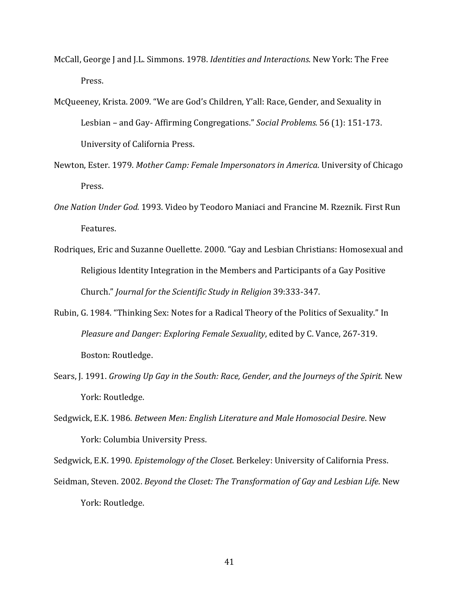- McCall, George J and J.L. Simmons. 1978. *Identities and Interactions*. New York: The Free Press.
- McQueeney, Krista. 2009. "We are God's Children, Y'all: Race, Gender, and Sexuality in Lesbian – and Gay- Affirming Congregations." Social Problems. 56 (1): 151-173. University of California Press.
- Newton, Ester. 1979. Mother Camp: Female Impersonators in America. University of Chicago Press.
- One Nation Under God. 1993. Video by Teodoro Maniaci and Francine M. Rzeznik. First Run Features.
- Rodriques, Eric and Suzanne Ouellette. 2000. "Gay and Lesbian Christians: Homosexual and Religious Identity Integration in the Members and Participants of a Gay Positive Church." Journal for the Scientific Study in Religion 39:333-347.
- Rubin, G. 1984. "Thinking Sex: Notes for a Radical Theory of the Politics of Sexuality." In Pleasure and Danger: Exploring Female Sexuality, edited by C. Vance, 267-319. Boston: Routledge.
- Sears, J. 1991. Growing Up Gay in the South: Race, Gender, and the Journeys of the Spirit. New York: Routledge.
- Sedgwick, E.K. 1986. Between Men: English Literature and Male Homosocial Desire. New York: Columbia University Press.

Sedgwick, E.K. 1990. Epistemology of the Closet. Berkeley: University of California Press.

Seidman, Steven. 2002. Beyond the Closet: The Transformation of Gay and Lesbian Life. New York: Routledge.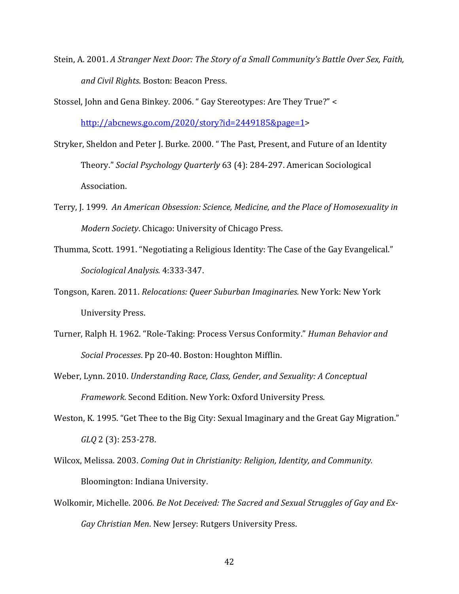- Stein, A. 2001. A Stranger Next Door: The Story of a Small Community's Battle Over Sex, Faith, and Civil Rights. Boston: Beacon Press.
- Stossel, John and Gena Binkey. 2006. " Gay Stereotypes: Are They True?" < http://abcnews.go.com/2020/story?id=2449185&page=1>
- Stryker, Sheldon and Peter J. Burke. 2000. " The Past, Present, and Future of an Identity Theory." Social Psychology Quarterly 63 (4): 284-297. American Sociological Association.
- Terry, J. 1999. An American Obsession: Science, Medicine, and the Place of Homosexuality in Modern Society. Chicago: University of Chicago Press.
- Thumma, Scott. 1991. "Negotiating a Religious Identity: The Case of the Gay Evangelical." Sociological Analysis. 4:333-347.
- Tongson, Karen. 2011. Relocations: Queer Suburban Imaginaries. New York: New York University Press.
- Turner, Ralph H. 1962. "Role-Taking: Process Versus Conformity." Human Behavior and Social Processes. Pp 20-40. Boston: Houghton Mifflin.
- Weber, Lynn. 2010. Understanding Race, Class, Gender, and Sexuality: A Conceptual Framework. Second Edition. New York: Oxford University Press.
- Weston, K. 1995. "Get Thee to the Big City: Sexual Imaginary and the Great Gay Migration." GLQ 2 (3): 253-278.
- Wilcox, Melissa. 2003. Coming Out in Christianity: Religion, Identity, and Community. Bloomington: Indiana University.
- Wolkomir, Michelle. 2006. Be Not Deceived: The Sacred and Sexual Struggles of Gay and Ex-Gay Christian Men. New Jersey: Rutgers University Press.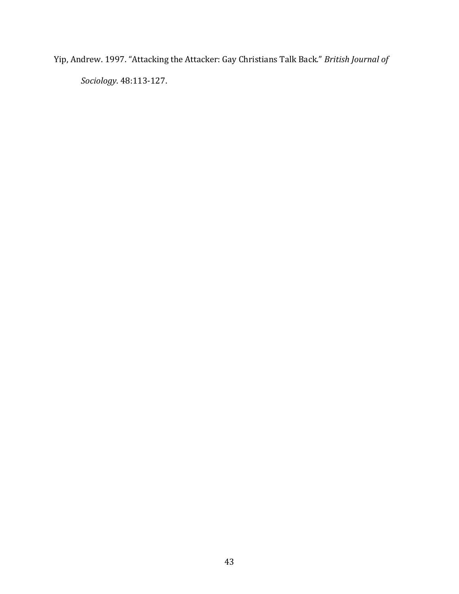Yip, Andrew. 1997. "Attacking the Attacker: Gay Christians Talk Back." British Journal of Sociology. 48:113-127.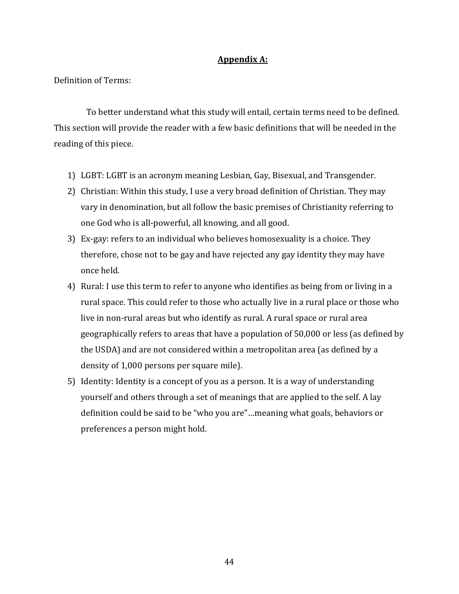### Appendix A:

Definition of Terms:

 To better understand what this study will entail, certain terms need to be defined. This section will provide the reader with a few basic definitions that will be needed in the reading of this piece.

- 1) LGBT: LGBT is an acronym meaning Lesbian, Gay, Bisexual, and Transgender.
- 2) Christian: Within this study, I use a very broad definition of Christian. They may vary in denomination, but all follow the basic premises of Christianity referring to one God who is all-powerful, all knowing, and all good.
- 3) Ex-gay: refers to an individual who believes homosexuality is a choice. They therefore, chose not to be gay and have rejected any gay identity they may have once held.
- 4) Rural: I use this term to refer to anyone who identifies as being from or living in a rural space. This could refer to those who actually live in a rural place or those who live in non-rural areas but who identify as rural. A rural space or rural area geographically refers to areas that have a population of 50,000 or less (as defined by the USDA) and are not considered within a metropolitan area (as defined by a density of 1,000 persons per square mile).
- 5) Identity: Identity is a concept of you as a person. It is a way of understanding yourself and others through a set of meanings that are applied to the self. A lay definition could be said to be "who you are"…meaning what goals, behaviors or preferences a person might hold.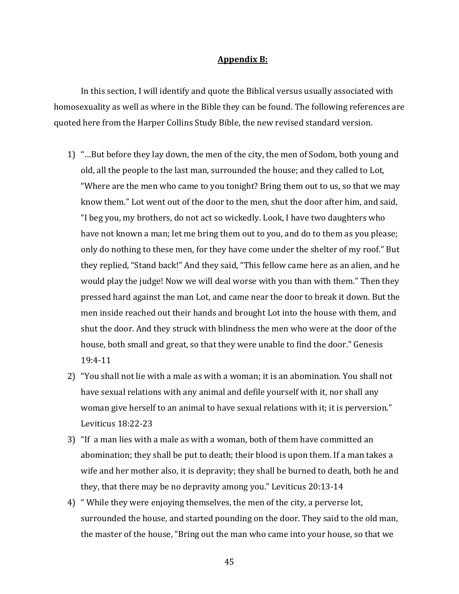#### Appendix B:

In this section, I will identify and quote the Biblical versus usually associated with homosexuality as well as where in the Bible they can be found. The following references are quoted here from the Harper Collins Study Bible, the new revised standard version.

- 1) "…But before they lay down, the men of the city, the men of Sodom, both young and old, all the people to the last man, surrounded the house; and they called to Lot, "Where are the men who came to you tonight? Bring them out to us, so that we may know them." Lot went out of the door to the men, shut the door after him, and said, "I beg you, my brothers, do not act so wickedly. Look, I have two daughters who have not known a man; let me bring them out to you, and do to them as you please; only do nothing to these men, for they have come under the shelter of my roof." But they replied, "Stand back!" And they said, "This fellow came here as an alien, and he would play the judge! Now we will deal worse with you than with them." Then they pressed hard against the man Lot, and came near the door to break it down. But the men inside reached out their hands and brought Lot into the house with them, and shut the door. And they struck with blindness the men who were at the door of the house, both small and great, so that they were unable to find the door." Genesis 19:4-11
- 2) "You shall not lie with a male as with a woman; it is an abomination. You shall not have sexual relations with any animal and defile yourself with it, nor shall any woman give herself to an animal to have sexual relations with it; it is perversion." Leviticus 18:22-23
- 3) "If a man lies with a male as with a woman, both of them have committed an abomination; they shall be put to death; their blood is upon them. If a man takes a wife and her mother also, it is depravity; they shall be burned to death, both he and they, that there may be no depravity among you." Leviticus 20:13-14
- 4) " While they were enjoying themselves, the men of the city, a perverse lot, surrounded the house, and started pounding on the door. They said to the old man, the master of the house, "Bring out the man who came into your house, so that we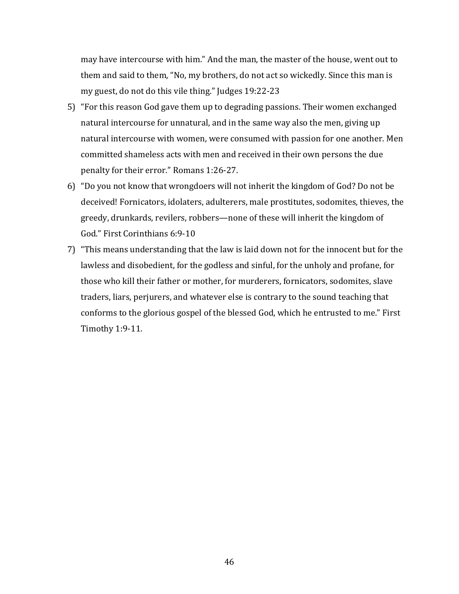may have intercourse with him." And the man, the master of the house, went out to them and said to them, "No, my brothers, do not act so wickedly. Since this man is my guest, do not do this vile thing." Judges 19:22-23

- 5) "For this reason God gave them up to degrading passions. Their women exchanged natural intercourse for unnatural, and in the same way also the men, giving up natural intercourse with women, were consumed with passion for one another. Men committed shameless acts with men and received in their own persons the due penalty for their error." Romans 1:26-27.
- 6) "Do you not know that wrongdoers will not inherit the kingdom of God? Do not be deceived! Fornicators, idolaters, adulterers, male prostitutes, sodomites, thieves, the greedy, drunkards, revilers, robbers—none of these will inherit the kingdom of God." First Corinthians 6:9-10
- 7) "This means understanding that the law is laid down not for the innocent but for the lawless and disobedient, for the godless and sinful, for the unholy and profane, for those who kill their father or mother, for murderers, fornicators, sodomites, slave traders, liars, perjurers, and whatever else is contrary to the sound teaching that conforms to the glorious gospel of the blessed God, which he entrusted to me." First Timothy 1:9-11.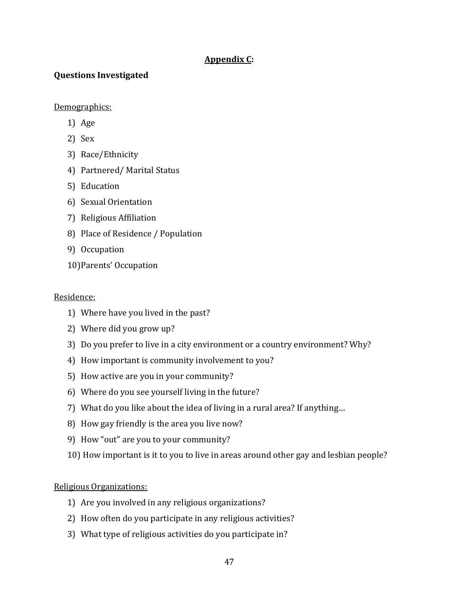## Appendix C:

### Questions Investigated

Demographics:

- 1) Age
- 2) Sex
- 3) Race/Ethnicity
- 4) Partnered/ Marital Status
- 5) Education
- 6) Sexual Orientation
- 7) Religious Affiliation
- 8) Place of Residence / Population
- 9) Occupation
- 10)Parents' Occupation

### Residence:

- 1) Where have you lived in the past?
- 2) Where did you grow up?
- 3) Do you prefer to live in a city environment or a country environment? Why?
- 4) How important is community involvement to you?
- 5) How active are you in your community?
- 6) Where do you see yourself living in the future?
- 7) What do you like about the idea of living in a rural area? If anything…
- 8) How gay friendly is the area you live now?
- 9) How "out" are you to your community?
- 10) How important is it to you to live in areas around other gay and lesbian people?

## Religious Organizations:

- 1) Are you involved in any religious organizations?
- 2) How often do you participate in any religious activities?
- 3) What type of religious activities do you participate in?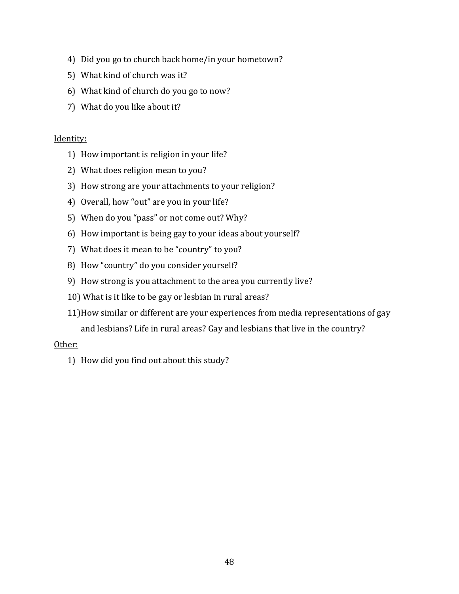- 4) Did you go to church back home/in your hometown?
- 5) What kind of church was it?
- 6) What kind of church do you go to now?
- 7) What do you like about it?

## Identity:

- 1) How important is religion in your life?
- 2) What does religion mean to you?
- 3) How strong are your attachments to your religion?
- 4) Overall, how "out" are you in your life?
- 5) When do you "pass" or not come out? Why?
- 6) How important is being gay to your ideas about yourself?
- 7) What does it mean to be "country" to you?
- 8) How "country" do you consider yourself?
- 9) How strong is you attachment to the area you currently live?
- 10) What is it like to be gay or lesbian in rural areas?
- 11)How similar or different are your experiences from media representations of gay and lesbians? Life in rural areas? Gay and lesbians that live in the country?

## Other:

1) How did you find out about this study?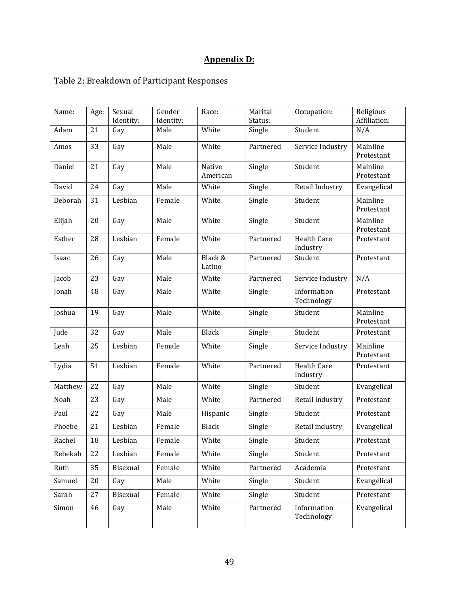## Appendix D:

# Table 2: Breakdown of Participant Responses

| Name:   | Age: | Sexual<br>Identity: | Gender<br>Identity: | Race:              | Marital<br>Status: | Occupation:                    | Religious<br>Affiliation: |
|---------|------|---------------------|---------------------|--------------------|--------------------|--------------------------------|---------------------------|
| Adam    | 21   | Gay                 | Male                | White              | Single             | Student                        | N/A                       |
| Amos    | 33   | Gay                 | Male                | White              | Partnered          | Service Industry               | Mainline<br>Protestant    |
| Daniel  | 21   | Gay                 | Male                | Native<br>American | Single             | Student                        | Mainline<br>Protestant    |
| David   | 24   | Gay                 | Male                | White              | Single             | Retail Industry                | Evangelical               |
| Deborah | 31   | Lesbian             | Female              | White              | Single             | Student                        | Mainline<br>Protestant    |
| Elijah  | 20   | Gay                 | Male                | White              | Single             | Student                        | Mainline<br>Protestant    |
| Esther  | 28   | Lesbian             | Female              | White              | Partnered          | <b>Health Care</b><br>Industry | Protestant                |
| Isaac   | 26   | Gay                 | Male                | Black &<br>Latino  | Partnered          | Student                        | Protestant                |
| Jacob   | 23   | Gay                 | Male                | White              | Partnered          | Service Industry               | N/A                       |
| Jonah   | 48   | Gay                 | Male                | White              | Single             | Information<br>Technology      | Protestant                |
| Joshua  | 19   | Gay                 | Male                | White              | Single             | Student                        | Mainline<br>Protestant    |
| Jude    | 32   | Gay                 | Male                | <b>Black</b>       | Single             | Student                        | Protestant                |
| Leah    | 25   | Lesbian             | Female              | White              | Single             | Service Industry               | Mainline<br>Protestant    |
| Lydia   | 51   | Lesbian             | Female              | White              | Partnered          | <b>Health Care</b><br>Industry | Protestant                |
| Matthew | 22   | Gay                 | Male                | White              | Single             | Student                        | Evangelical               |
| Noah    | 23   | Gay                 | Male                | White              | Partnered          | Retail Industry                | Protestant                |
| Paul    | 22   | Gay                 | Male                | Hispanic           | Single             | Student                        | Protestant                |
| Phoebe  | 21   | Lesbian             | Female              | <b>Black</b>       | Single             | Retail industry                | Evangelical               |
| Rachel  | 18   | Lesbian             | Female              | White              | Single             | Student                        | Protestant                |
| Rebekah | 22   | Lesbian             | Female              | White              | Single             | Student                        | Protestant                |
| Ruth    | 35   | Bisexual            | Female              | White              | Partnered          | Academia                       | Protestant                |
| Samuel  | 20   | Gay                 | Male                | White              | Single             | Student                        | Evangelical               |
| Sarah   | 27   | Bisexual            | Female              | White              | Single             | Student                        | Protestant                |
| Simon   | 46   | Gay                 | Male                | White              | Partnered          | Information<br>Technology      | Evangelical               |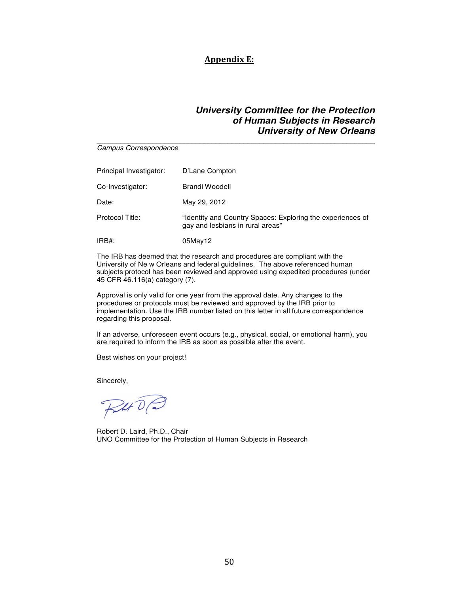#### Appendix E:

#### **University Committee for the Protection of Human Subjects in Research University of New Orleans**

#### **\_\_\_\_\_\_\_\_\_\_\_\_\_\_\_\_\_\_\_\_\_\_\_\_\_\_\_\_\_\_\_\_\_\_\_\_\_\_\_\_\_\_\_\_\_\_\_\_\_\_\_\_\_\_\_\_\_\_\_\_\_\_\_\_\_\_\_\_\_\_**  Campus Correspondence

| Principal Investigator: | D'Lane Compton                                                                                 |
|-------------------------|------------------------------------------------------------------------------------------------|
| Co-Investigator:        | Brandi Woodell                                                                                 |
| Date:                   | May 29, 2012                                                                                   |
| Protocol Title:         | "Identity and Country Spaces: Exploring the experiences of<br>gay and lesbians in rural areas" |
| $IRB#$ :                | 05May12                                                                                        |

The IRB has deemed that the research and procedures are compliant with the University of Ne w Orleans and federal guidelines. The above referenced human subjects protocol has been reviewed and approved using expedited procedures (under 45 CFR 46.116(a) category (7).

Approval is only valid for one year from the approval date. Any changes to the procedures or protocols must be reviewed and approved by the IRB prior to implementation. Use the IRB number listed on this letter in all future correspondence regarding this proposal.

If an adverse, unforeseen event occurs (e.g., physical, social, or emotional harm), you are required to inform the IRB as soon as possible after the event.

Best wishes on your project!

Sincerely,

 $P_{\mu\nu}$ 

Robert D. Laird, Ph.D., Chair UNO Committee for the Protection of Human Subjects in Research